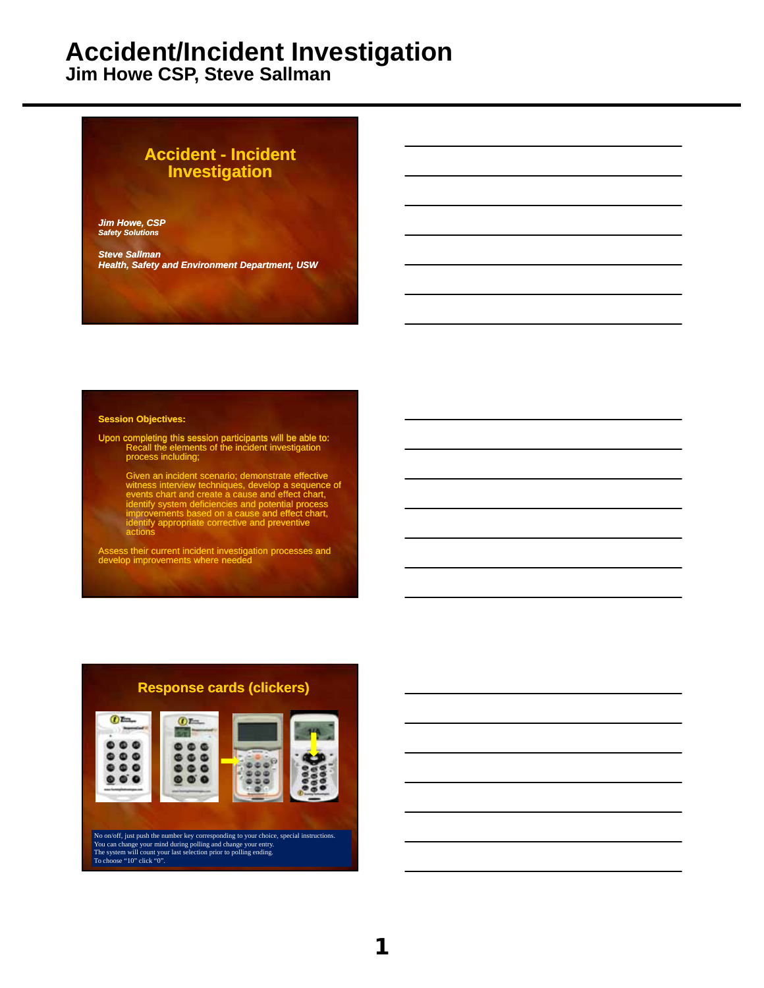**Jim Howe CSP, Steve Sallman**

#### **Accident - Incident Investigation**

*Jim Howe, CSP Safety Solutions*

*Steve Sallman Health, Safety and Environment Department, USW*

#### **Session Objectives:**

Upon completing this session participants will be able to: Recall the elements of the incident investigation process including;

Given an incident scenario; demonstrate effective<br>witness interview techniques, develop a sequence of<br>events chart and create a cause and effect chart,<br>identify system deficiencies and potential process<br>improvements based

Assess their current incident investigation processes and develop improvements where needed

#### **Response cards (clickers)**



No on/off, just push the number key corresponding to your choice, special instructions. You can change your mind during polling and change your entry. The system will count your last selection prior to polling ending. To choose "10" click "0".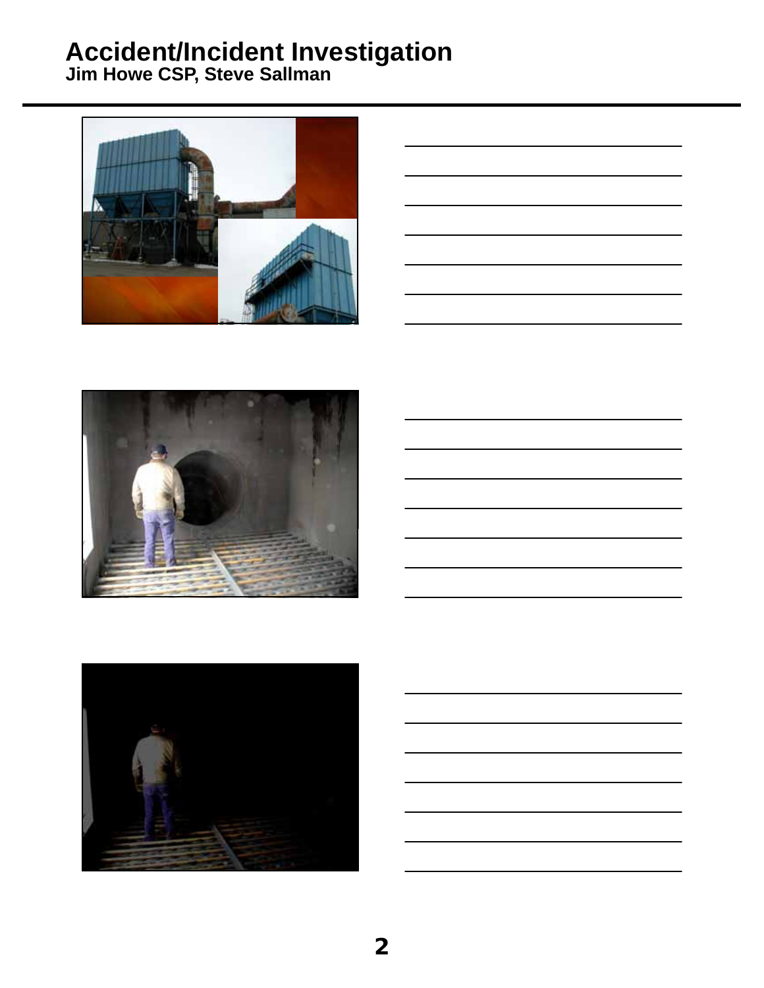

| <u> 1989 - Johann Barn, mars ann an t-Amhain ann an t-Amhain ann an t-Amhain ann an t-Amhain ann an t-Amhain ann a</u> |  |  |
|------------------------------------------------------------------------------------------------------------------------|--|--|
|                                                                                                                        |  |  |
|                                                                                                                        |  |  |
|                                                                                                                        |  |  |





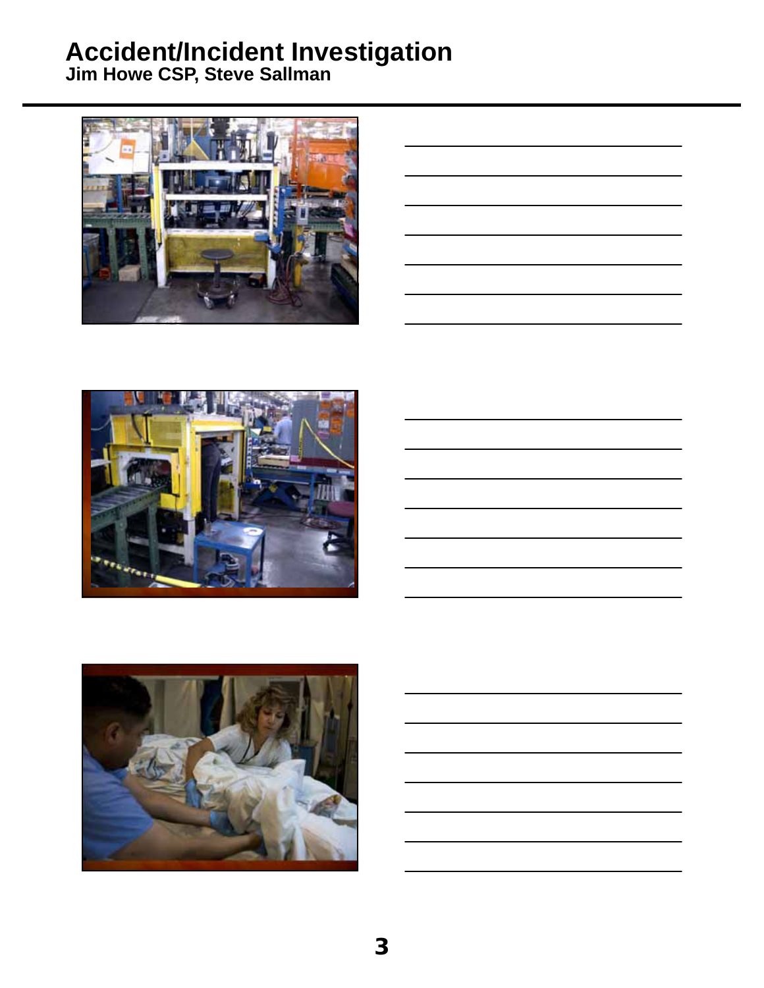

| <u> 1989 - Johann Harry Harry Harry Harry Harry Harry Harry Harry Harry Harry Harry Harry Harry Harry Harry Harry</u> |  |  |
|-----------------------------------------------------------------------------------------------------------------------|--|--|
|                                                                                                                       |  |  |
| <u> 1989 - Andrea Andrew Maria (h. 1989).</u>                                                                         |  |  |
| <u> 1989 - Andrea Santa Andrea Andrea Andrea Andrea Andrea Andrea Andrea Andrea Andrea Andrea Andrea Andrea Andr</u>  |  |  |
| <u> 1989 - Johann Barn, amerikan bernama di sebagai bernama dan bernama di sebagai bernama dalam bernama dalam b</u>  |  |  |
| <u> 1989 - Johann Barn, mars ann an t-Amhainn an t-Amhainn an t-Amhainn an t-Amhainn an t-Amhainn an t-Amhainn an</u> |  |  |
|                                                                                                                       |  |  |





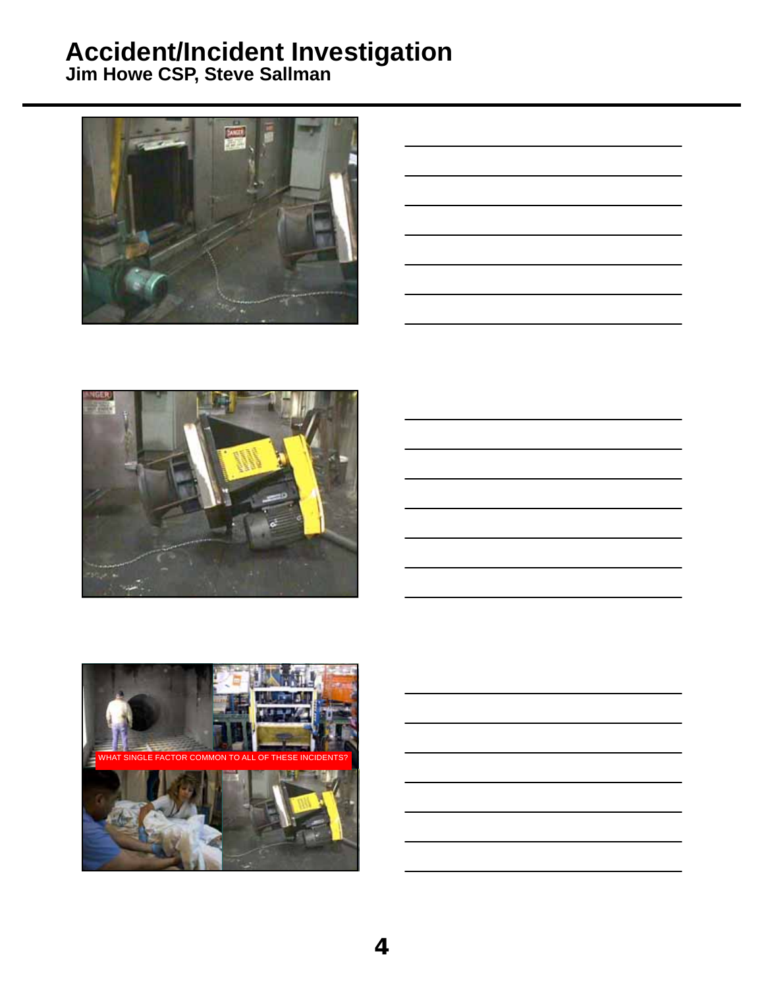

| <u> 1989 - Johann Stoff, deutscher Stoff, der Stoff, der Stoff, der Stoff, der Stoff, der Stoff, der Stoff, der S</u> |  |  |
|-----------------------------------------------------------------------------------------------------------------------|--|--|
|                                                                                                                       |  |  |
| <u> 1989 - Andrea Santa Andrea Andrea Andrea Andrea Andrea Andrea Andrea Andrea Andrea Andrea Andrea Andrea Andr</u>  |  |  |
| <u> 1989 - Johann Stoff, deutscher Stoff, der Stoff, der Stoff, der Stoff, der Stoff, der Stoff, der Stoff, der S</u> |  |  |
|                                                                                                                       |  |  |
|                                                                                                                       |  |  |





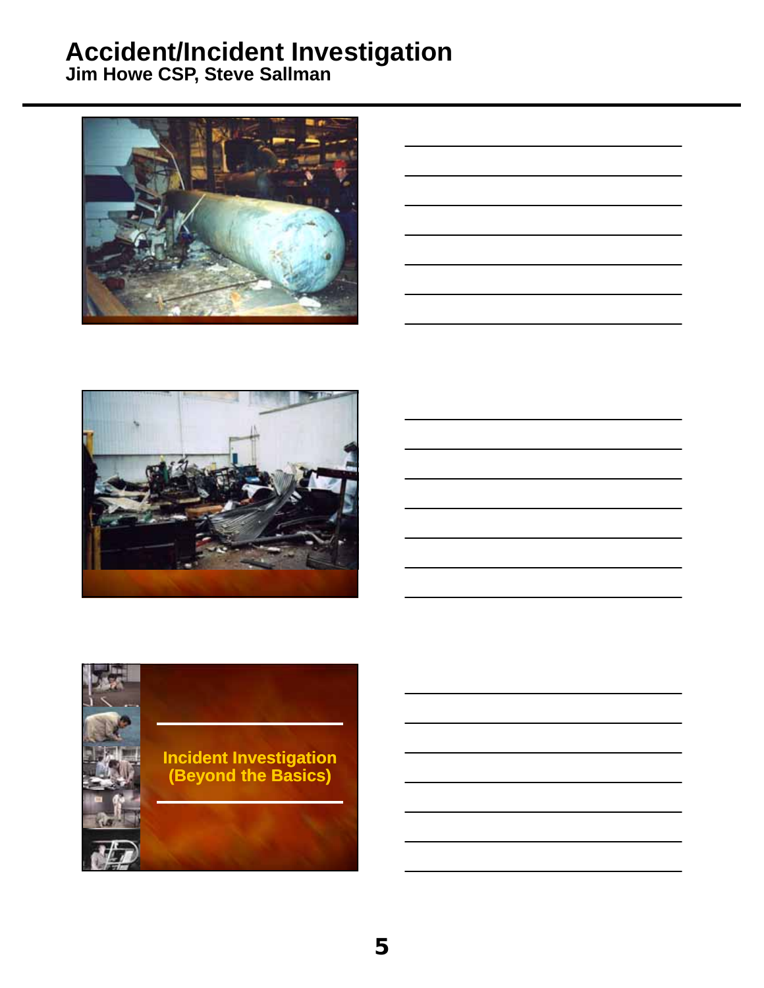

| <u> 1989 - Johann Barn, amerikansk politiker (d. 1989)</u> |  | $\overline{\phantom{a}}$ |  |
|------------------------------------------------------------|--|--------------------------|--|
| <u> 1989 - Andrea Andrew Maria (h. 1989).</u>              |  |                          |  |
|                                                            |  |                          |  |



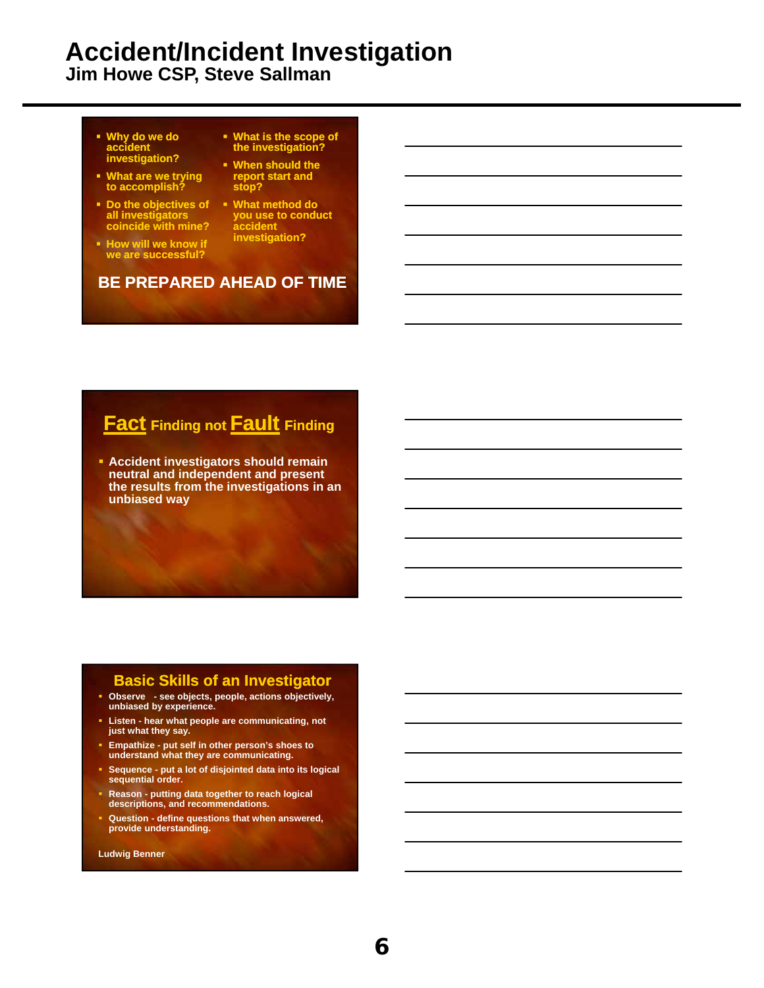**Jim Howe CSP, Steve Sallman**

- **Why do we do accident investigation?**
- **What are we trying to accomplish?**
- **Do the objectives of all investigators coincide with mine?**
- **How will we know if we are successful?**
- **What is the scope of the investigation?**
- **When should the report start and stop?**
- **What method do you use to conduct accident investigation?**

#### **BE PREPARED AHEAD OF TIME**

### **Fact Finding not Fault Finding**

 **Accident investigators should remain neutral and independent and present the results from the investigations in an unbiased way**

#### **Basic Skills of an Investigator**

- **Observe see objects, people, actions objectively, unbiased by experience.**
- **Listen hear what people are communicating, not just what they say.**
- **Empathize put self in other person's shoes to understand what they are communicating.**
- **Sequence put a lot of disjointed data into its logical sequential order.**
- **Reason putting data together to reach logical descriptions, and recommendations.**
- **Question define questions that when answered, provide understanding.**

**Ludwig Benner**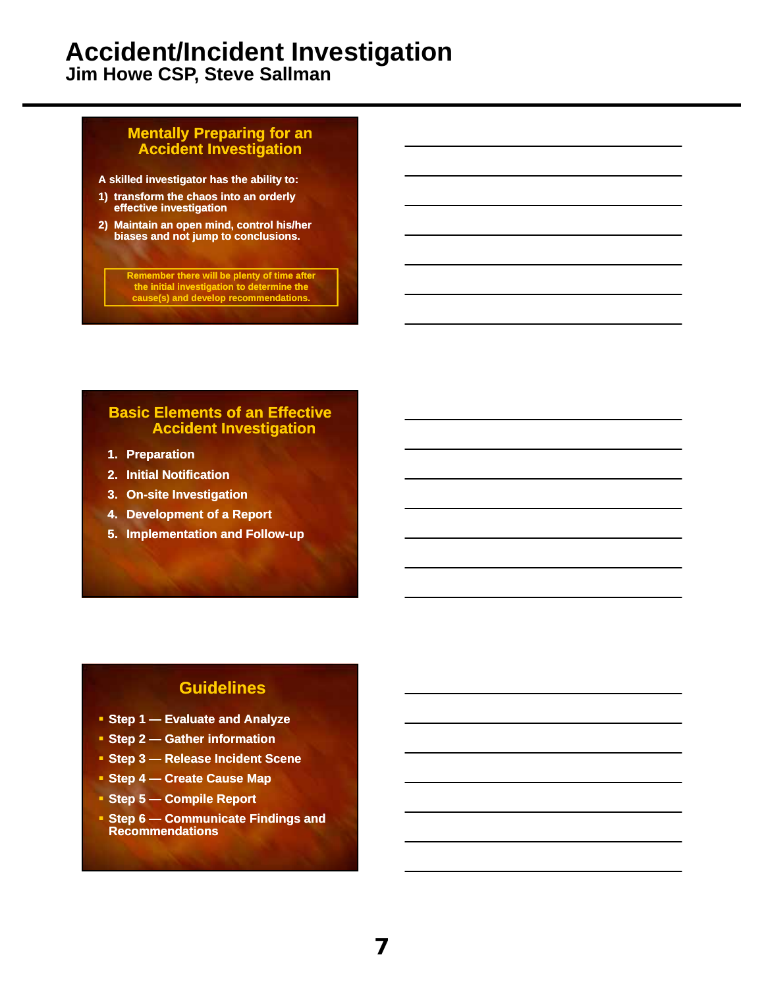**Jim Howe CSP, Steve Sallman**

#### **Mentally Preparing for an Accident Investigation**

**A skilled investigator has the ability to:**

- **1) transform the chaos into an orderly effective investigation**
- **2) Maintain an open mind, control his/her biases and not jump to conclusions.**

**Remember there will be plenty of time after the initial investigation to determine the cause(s) and develop recommendations.**

#### **Basic Elements of an Effective Accident Investigation**

- **1. Preparation**
- **2. Initial Notification**
- **3. On-site Investigation**
- **4. Development of a Report**
	- **5. Implementation and Follow-up**

#### **Guidelines**

- **Step 1 Evaluate and Analyze**
- **Step 2 Gather information**
- **Step 3 Release Incident Scene**
- **Step 4 Create Cause Map**
- **Step 5 Compile Report**
- **Step 6 Communicate Findings and Recommendations**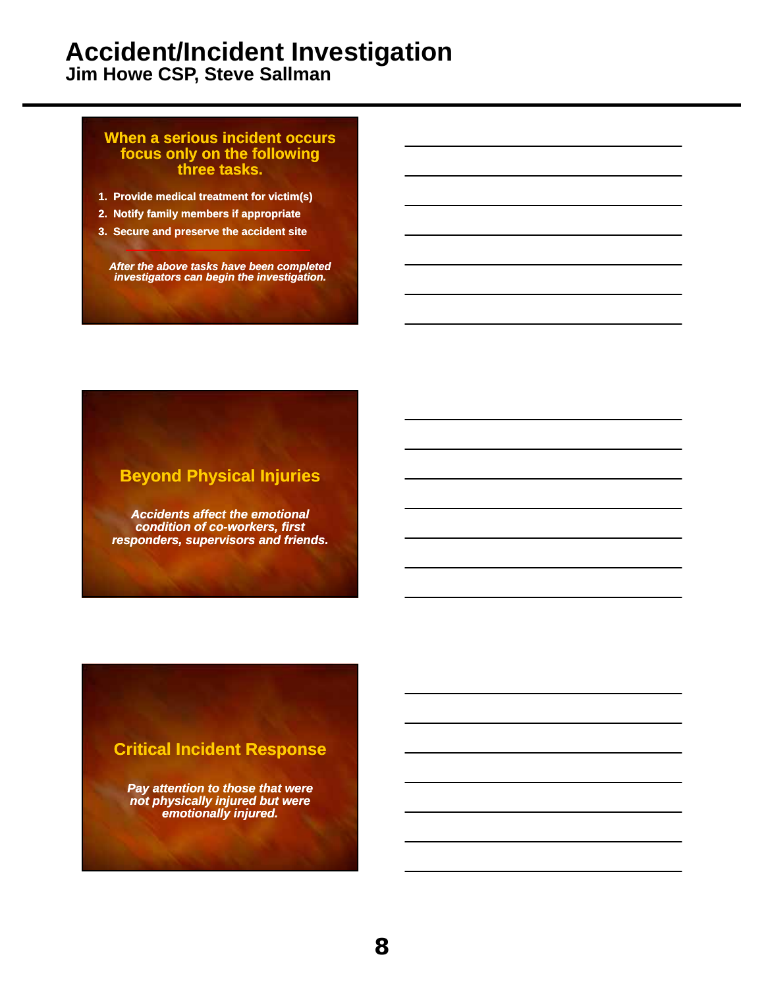**Jim Howe CSP, Steve Sallman**

#### **When a serious incident occurs focus only on the following three tasks.**

- **1. Provide medical treatment for victim(s)**
- **2. Notify family members if appropriate**
- **3. Secure and preserve the accident site**

*After the above tasks have been completed investigators can begin the investigation.* 

#### **Beyond Physical Injuries**

*Accidents affect the emotional condition of co-workers, first responders, supervisors and friends.* 

#### **Critical Incident Response**

*Pay attention to those that were not physically injured but were emotionally injured.*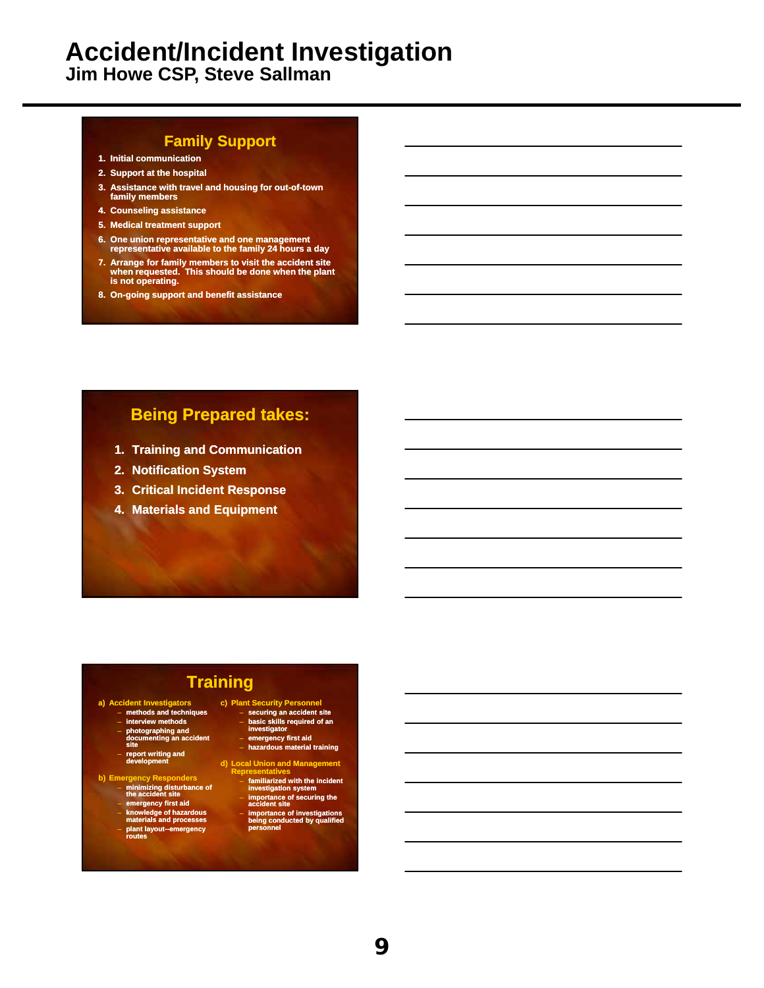**Jim Howe CSP, Steve Sallman**

#### **Family Support**

- **1. Initial communication**
- **2. Support at the hospital**
- **3. Assistance with travel and housing for out-of-town family members**
- **4. Counseling assistance**
- **5. Medical treatment support**
- **6. One union representative and one management representative available to the family 24 hours a day**
- **7. Arrange for family members to visit the accident site when requested. This should be done when the plant is not operating.**
- **8. On-going support and benefit assistance**

#### **Being Prepared takes:**

- **1. Training and Communication**
- **2. Notification System**
- **3. Critical Incident Response**
- **4. Materials and Equipment**

#### **Training**

- **a) Accident Investigators methods and techniques**
	-
	- **interview methods**
	- **photographing and documenting an accident**
	- **site**
	- **report writing and development**
- **b) Emergency Responders** – **minimizing disturbance of** 
	- **nt** site – **emergency first aid**
	-
	- **knowledge of hazardous materials and processes**
	- **plant layout--emergency routes**

## **c) Plant Security Personnel** – **securing an accident site** – **basic skills required of an**

- **investigator**
- **emergency first aid** – **hazardous material training**
- 
- **d** Union and Managen
- **Representatives familiarized with the incident investigation system importance of securing the accident site**
	- **importance of investigations being conducted by qualified personnel**
- **9**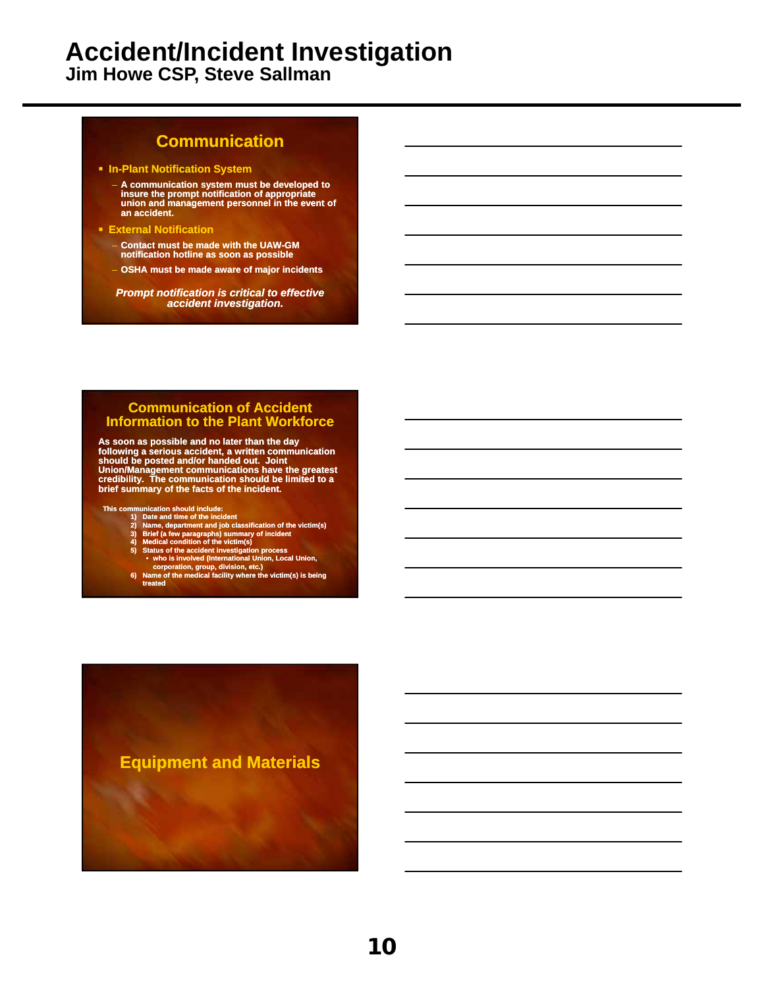**Jim Howe CSP, Steve Sallman**

#### **Communication**

**In-Plant Notification System**

- **A communication system must be developed to insure the prompt notification of appropriate union and management personnel in the event of an accident.**
- **External Notification**
	- **Contact must be made with the UAW-GM notification hotline as soon as possible**
	- **OSHA must be made aware of major incidents**

*Prompt notification is critical to effective accident investigation.*

#### **Communication of Accident Information to the Plant Workforce**

As soon as possible and no later than the day<br>following a serious accident, a written communication<br>should be posted and/or handed out. Joint<br>Union/Management communications have the greatest<br>credibility. The communication

- 
- 
- 
- 
- 
- 
- This communication should include:<br>
1) Date and time of the incident<br>
2) Name, department and job classification of the victim(s)<br>
3) Brief (a few paragraphs) summary of incident<br>
4) Medical condition of the victim(s)<br>
5)

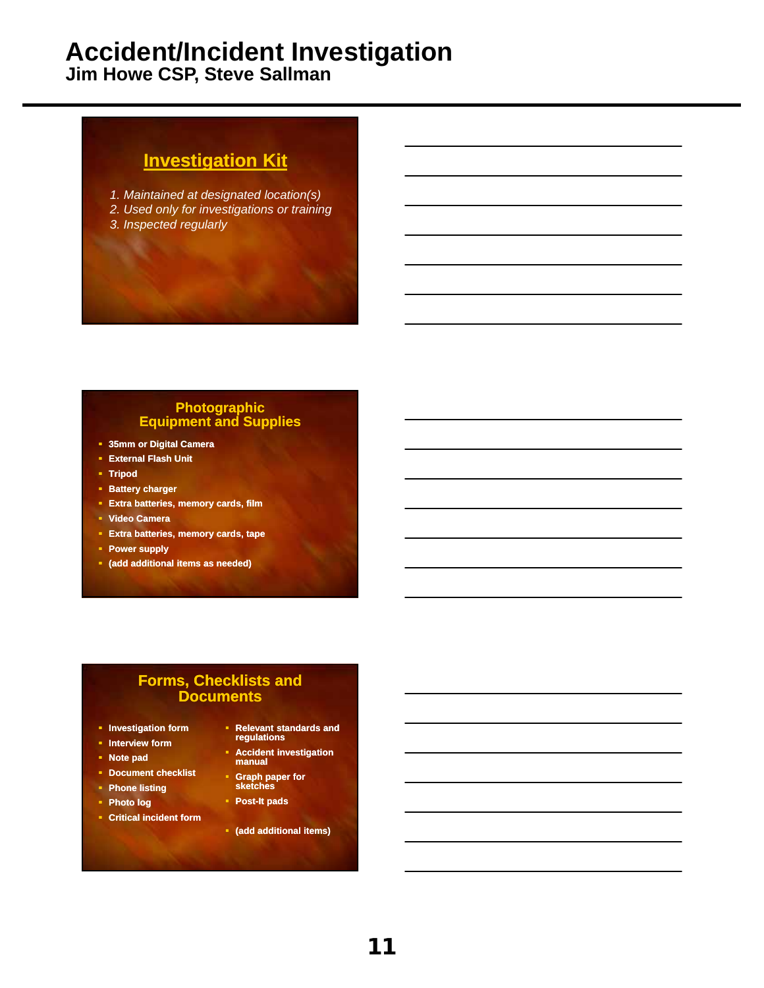**Jim Howe CSP, Steve Sallman**

## **Investigation Kit**

- *1. Maintained at designated location(s)*
- *2. Used only for investigations or training*
- *3. Inspected regularly*

#### **Photographic Equipment and Supplies**

- **35mm or Digital Camera**
- **External Flash Unit**
- **Tripod**
- **Battery charger**
- **Extra batteries, memory cards, film**
- **Video Camera**
- **Extra batteries, memory cards, tape**
- **Power supply**
- **(add additional items as needed)**

#### **Forms, Checklists and Documents**

- **Investigation form**
- **Interview form**
- **Note pad**
- **Document checklist**
- **Phone listing**
- **Photo log**
- **Critical incident form**
- **Relevant standards and regulations**
- **Accident investigation manual**
- **Graph paper for sketches**
- **Post-It pads**
- **(add additional items)**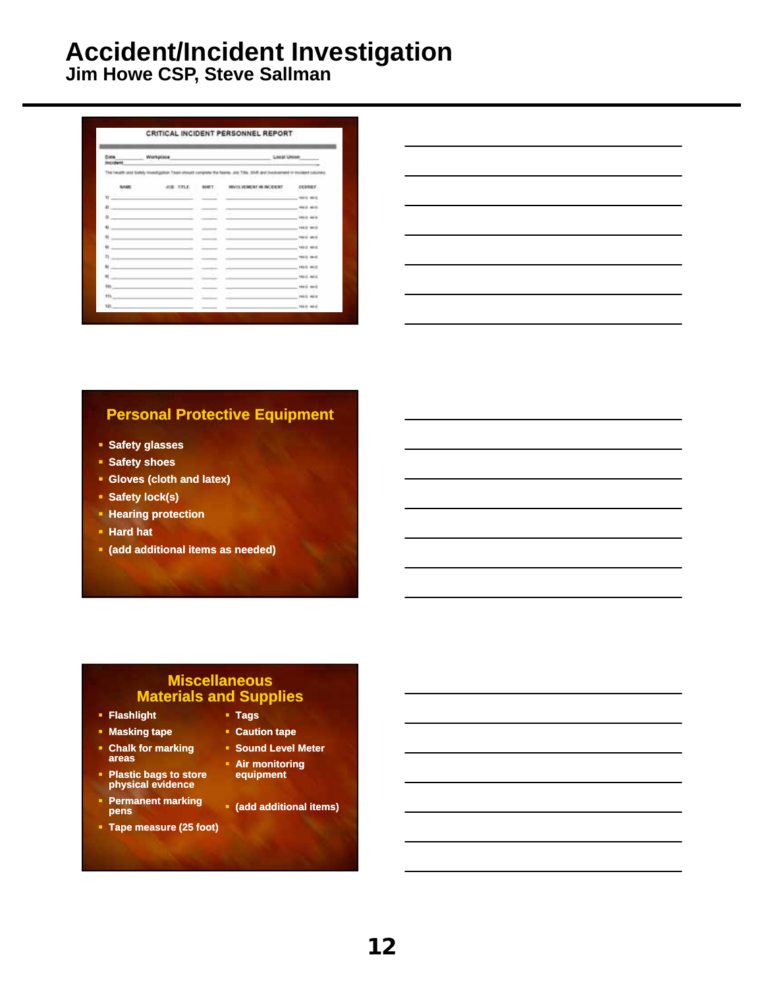**Jim Howe CSP, Steve Sallman**

| Cole           | Workplace      |               | Local Union                                                                                                          |                         |
|----------------|----------------|---------------|----------------------------------------------------------------------------------------------------------------------|-------------------------|
| Incident       |                |               |                                                                                                                      |                         |
|                |                |               | The Health and Safety meetingston Team should complete the Name: July Title, Shift and Shedwarent of Holland columns |                         |
| <b>Builder</b> | TIRLE<br>ACABI | <b>MAILTY</b> | INVOLVEMENT IN INCORRE<br>전화로 부모가 이렇게 화장이 보고 있었다.                                                                    | <b>DESIGNS</b><br>w     |
| ü              |                |               |                                                                                                                      | <b>FRA'S MI-S</b>       |
| h              |                |               |                                                                                                                      | vesti moto              |
|                |                |               |                                                                                                                      | <b>FREE</b> MED         |
| 4              |                |               |                                                                                                                      | takil with              |
| m              |                |               |                                                                                                                      | <b>HALE</b><br>$44 - 4$ |
| $\mathbf{u}$   |                |               |                                                                                                                      | 144/10<br>46.4          |
| S,             |                |               |                                                                                                                      | <b>HALL</b><br>$-0.001$ |
| w              |                |               |                                                                                                                      | 199120<br>$-0.01$       |
| ×              |                |               |                                                                                                                      | <b>TRAIL ALL</b>        |
| $+$            |                |               |                                                                                                                      | <b>TELE MAIL</b>        |
| $+1$           |                |               |                                                                                                                      | <b>FRED HER</b>         |
| <b>UD</b>      |                |               |                                                                                                                      | 19313-1010              |

#### **Personal Protective Equipment**

- **Safety glasses**
- **Safety shoes**
- **Gloves (cloth and latex)**
- **Safety lock(s)**
- **Hearing protection**
- **Hard hat**
- **(add additional items as needed)**

#### **Miscellaneous Materials and Supplies**

- **Flashlight**
- **Masking tape**
- **Chalk for marking areas**
- **Plastic bags to store physical evidence**
- **Permanent marking pens**
- **Tape measure (25 foot)**
- **Tags**
- **Caution tape**
- **Sound Level Meter**
- **Air monitoring equipment**
- **(add additional items)**

**12**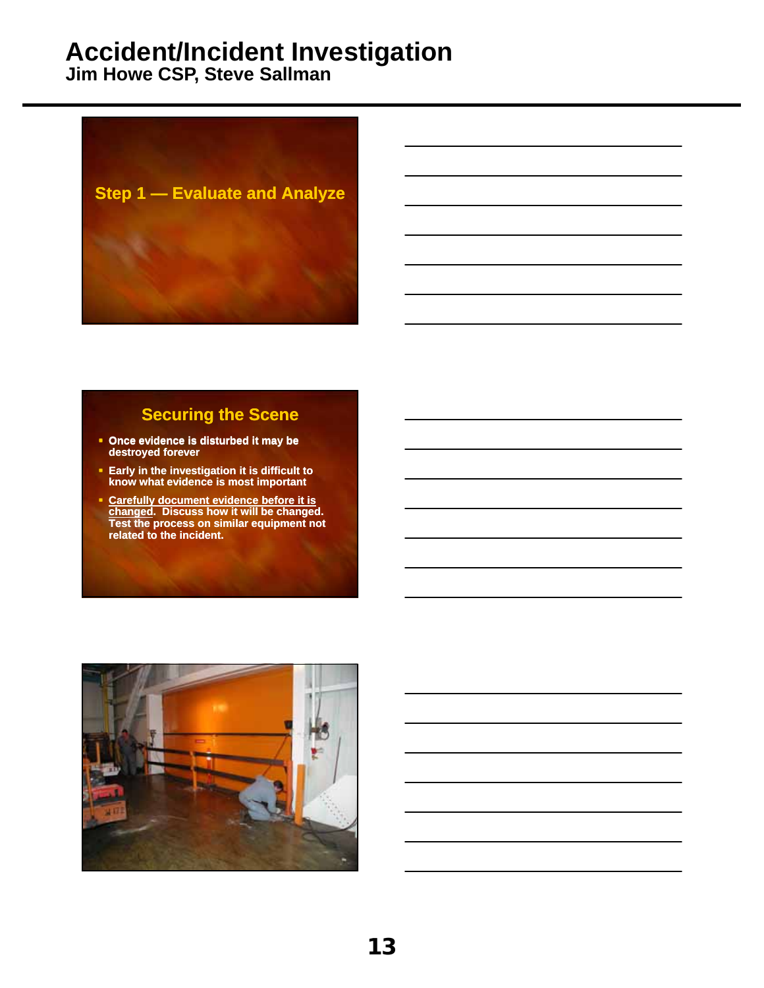**Jim Howe CSP, Steve Sallman**



#### **Securing the Scene**

- **Once evidence is disturbed it may be destroyed forever**
- **Early in the investigation it is difficult to know what evidence is most important**
- **Carefully document evidence before it is changed. Discuss how it will be changed. Test the process on similar equipment not related to the incident.**

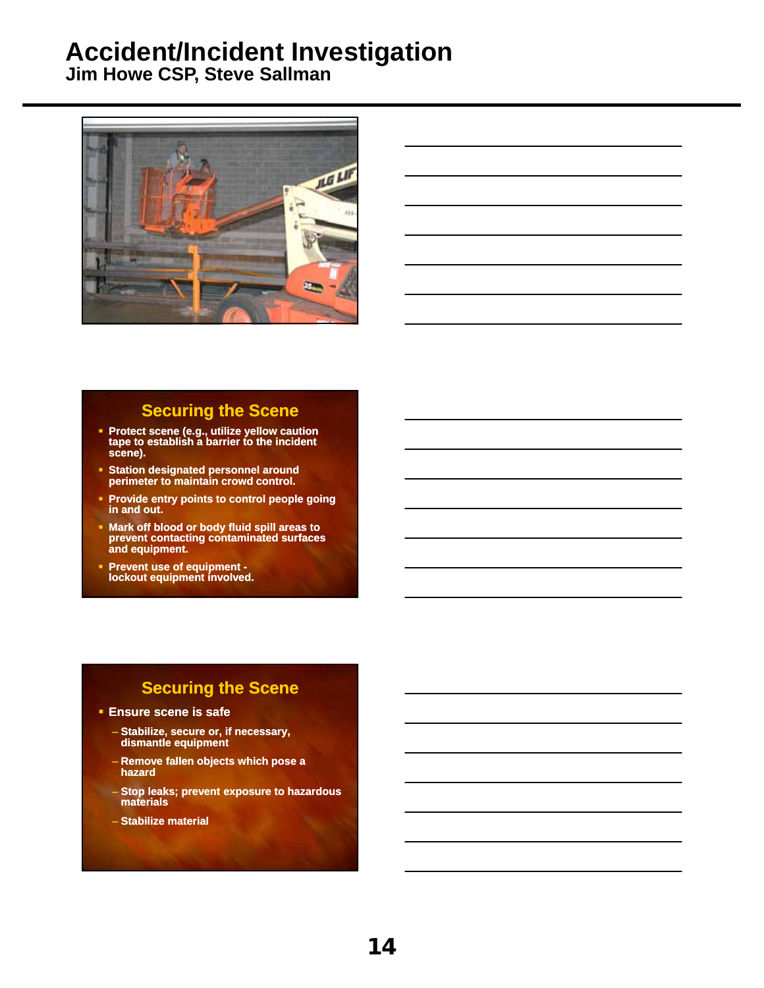**Jim Howe CSP, Steve Sallman**



#### **Securing the Scene**

- **Protect scene (e.g., utilize yellow caution tape to establish a barrier to the incident scene).**
- **Station designated personnel around perimeter to maintain crowd control.**
- **Provide entry points to control people going in and out.**
- **Mark off blood or body fluid spill areas to prevent contacting contaminated surfaces and equipment.**
- **Prevent use of equipment lockout equipment involved.**

#### **Securing the Scene**

- **Ensure scene is safe**
	- **Stabilize, secure or, if necessary, dismantle equipment**
	- **Remove fallen objects which pose a hazard**
	- **Stop leaks; prevent exposure to hazardous materials**
	- **Stabilize material**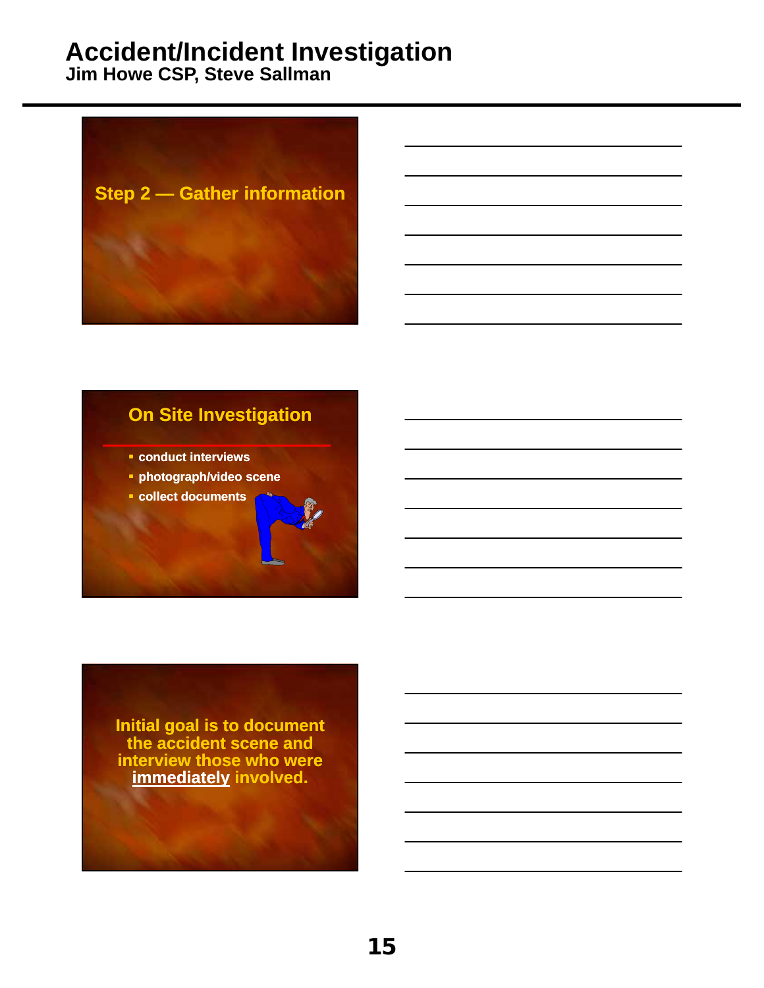**Jim Howe CSP, Steve Sallman**



## **On Site Investigation**

- **conduct interviews**
- **photograph/video scene**
- **collect documents**

**Initial goal is to document the accident scene and interview those who were immediately involved.**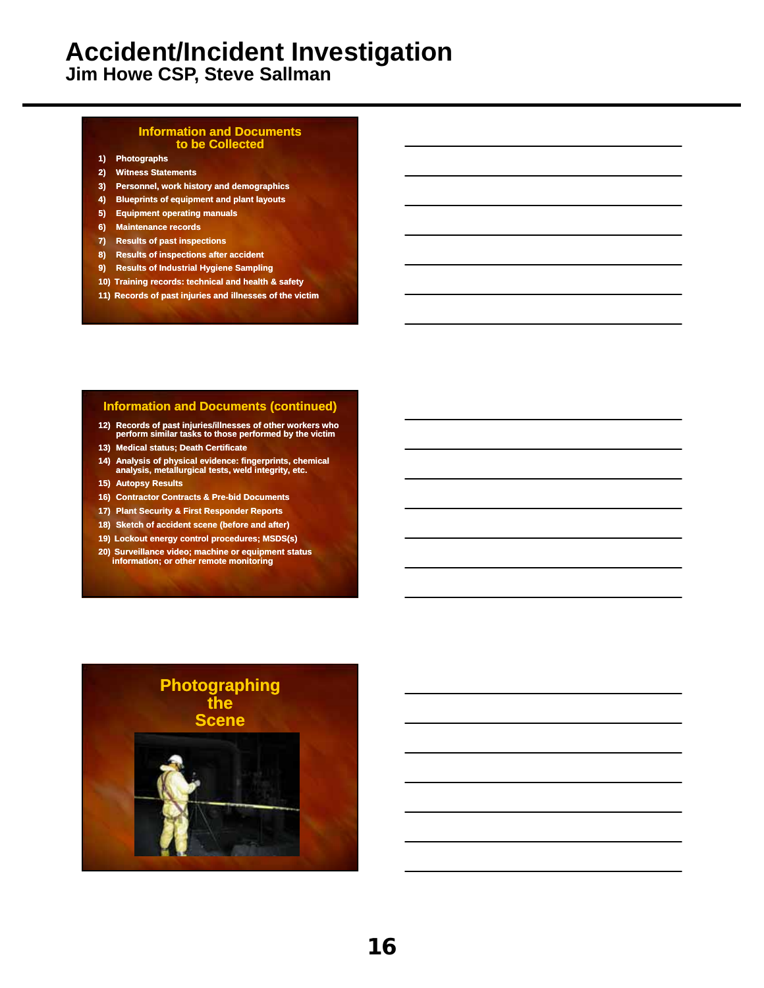**Jim Howe CSP, Steve Sallman**

#### **Information and Documents to be Collected**

- **1) Photographs**
- **2) Witness Statements**
- **3) Personnel, work history and demographics**
- **4) Blueprints of equipment and plant layouts**
- **5) Equipment operating manuals**
- **6) Maintenance records**
- **7) Results of past inspections**
- **8) Results of inspections after accident**
- **9) Results of Industrial Hygiene Sampling**
- **10) Training records: technical and health & safety**
- **11) Records of past injuries and illnesses of the victim**

#### **Information and Documents (continued)**

- **12) Records of past injuries/illnesses of other workers who perform similar tasks to those performed by the victim**
- **13) Medical status; Death Certificate**
- **14) Analysis of physical evidence: fingerprints, chemical analysis, metallurgical tests, weld integrity, etc.**
- **15) Autopsy Results**
- **16) Contractor Contracts & Pre-bid Documents**
- **17) Plant Security & First Responder Reports**
- **18) Sketch of accident scene (before and after)**
- **19) Lockout energy control procedures; MSDS(s)**
- **20) Surveillance video; machine or equipment status information; or other remote monitoring**

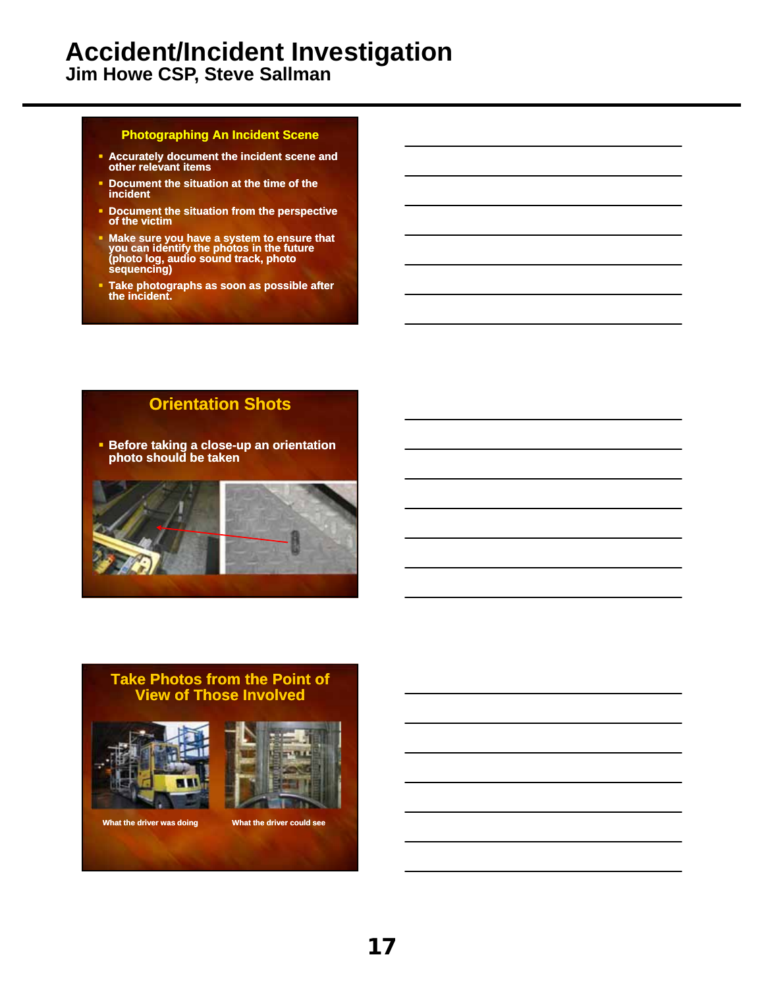**Jim Howe CSP, Steve Sallman**

#### **Photographing An Incident Scene**

- **Accurately document the incident scene and other relevant items**
- **Document the situation at the time of the incident**
- **Document the situation from the perspective of the victim**
- **Make sure you have a system to ensure that you can identify the photos in the future (photo log, audio sound track, photo sequencing)**
- **Take photographs as soon as possible after the incident.**

#### **Orientation Shots**

 **Before taking a close-up an orientation photo should be taken**



#### **Take Photos from the Point of View of Those Involved**





**What the driver was doing What the driver could see**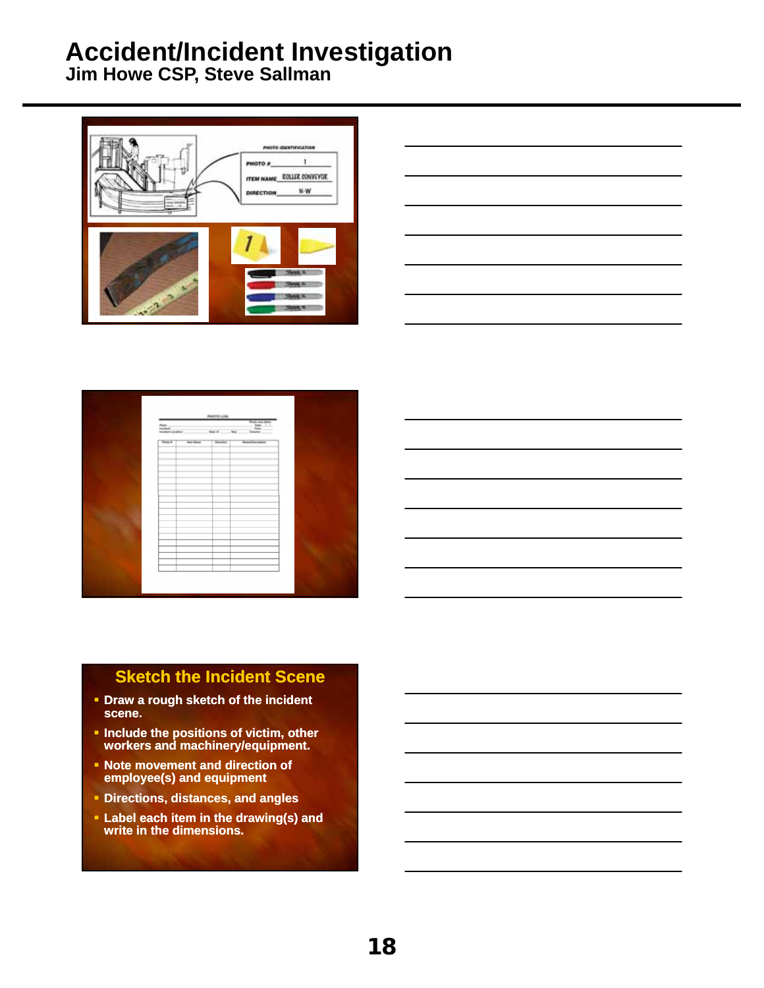**Jim Howe CSP, Steve Sallman**





| PHOTO LOG        |     |                                     |  |  |
|------------------|-----|-------------------------------------|--|--|
|                  | hy. | Plate and Silver<br>Links<br>Column |  |  |
| <b>Barn Rome</b> |     | <b>Rotary Description</b>           |  |  |
|                  |     |                                     |  |  |
|                  |     |                                     |  |  |
|                  |     |                                     |  |  |
|                  |     |                                     |  |  |
|                  |     |                                     |  |  |
|                  |     |                                     |  |  |
|                  |     |                                     |  |  |
|                  |     |                                     |  |  |
|                  |     |                                     |  |  |
|                  |     |                                     |  |  |
|                  |     |                                     |  |  |
|                  |     |                                     |  |  |
|                  |     |                                     |  |  |
|                  |     |                                     |  |  |

#### **Sketch the Incident Scene**

- **Draw a rough sketch of the incident scene.**
- **Include the positions of victim, other workers and machinery/equipment.**
- **Note movement and direction of employee(s) and equipment**
- **Directions, distances, and angles**
- **Label each item in the drawing(s) and write in the dimensions.**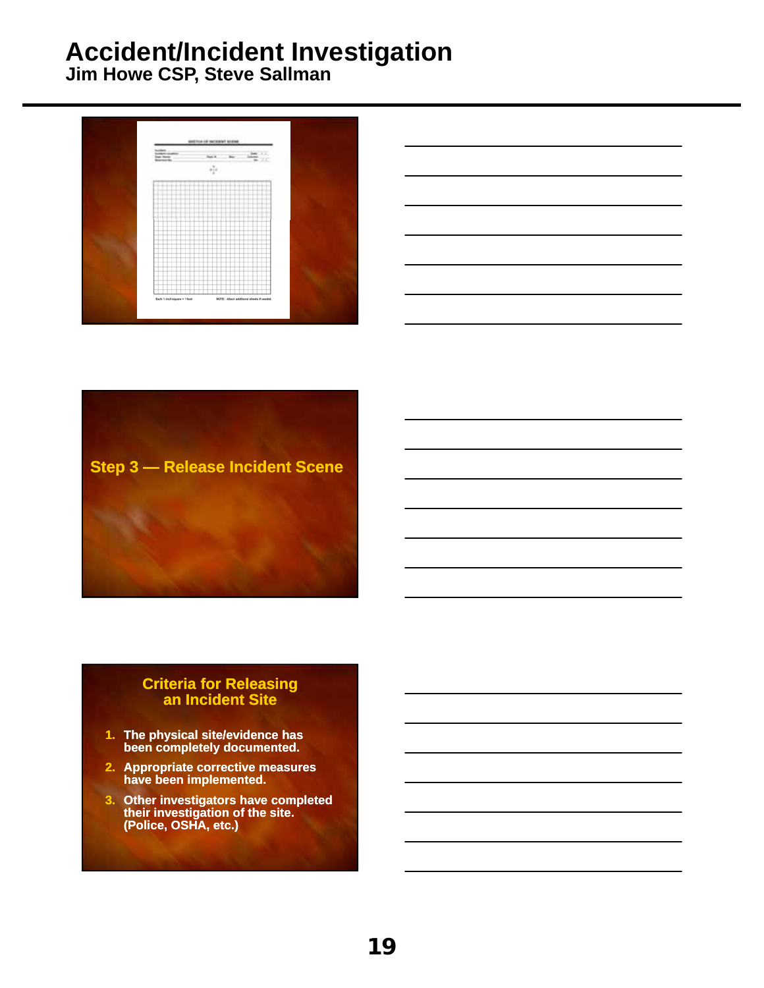**Jim Howe CSP, Steve Sallman**







#### **Criteria for Releasing an Incident Site**

- **1. The physical site/evidence has been completely documented.**
- **2. Appropriate corrective measures have been implemented.**
- **3. Other investigators have completed their investigation of the site. (Police, OSHA, etc.)**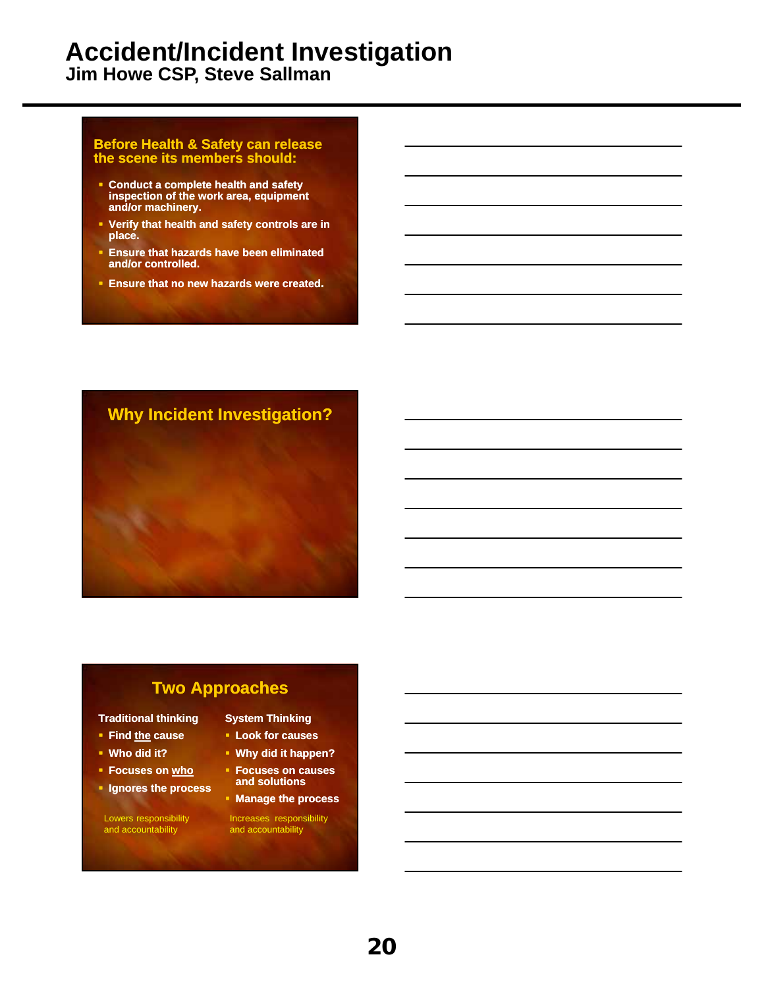**Jim Howe CSP, Steve Sallman**

#### **Before Health & Safety can release the scene its members should:**

- **Conduct a complete health and safety inspection of the work area, equipment and/or machinery.**
- **Verify that health and safety controls are in place.**
- **Ensure that hazards have been eliminated and/or controlled.**
- **Ensure that no new hazards were created.**

#### **Why Incident Investigation?**

#### **Two Approaches**

#### **Traditional thinking**

- **Find the cause**
- **Who did it?**
- **Focuses on who**
- **Ignores the process**

Lowers responsibility and accountability

- **System Thinking Look for causes**
- **Why did it happen?**
- **Focuses on causes and solutions**
- **Manage the process**

Increases responsibility and accountability

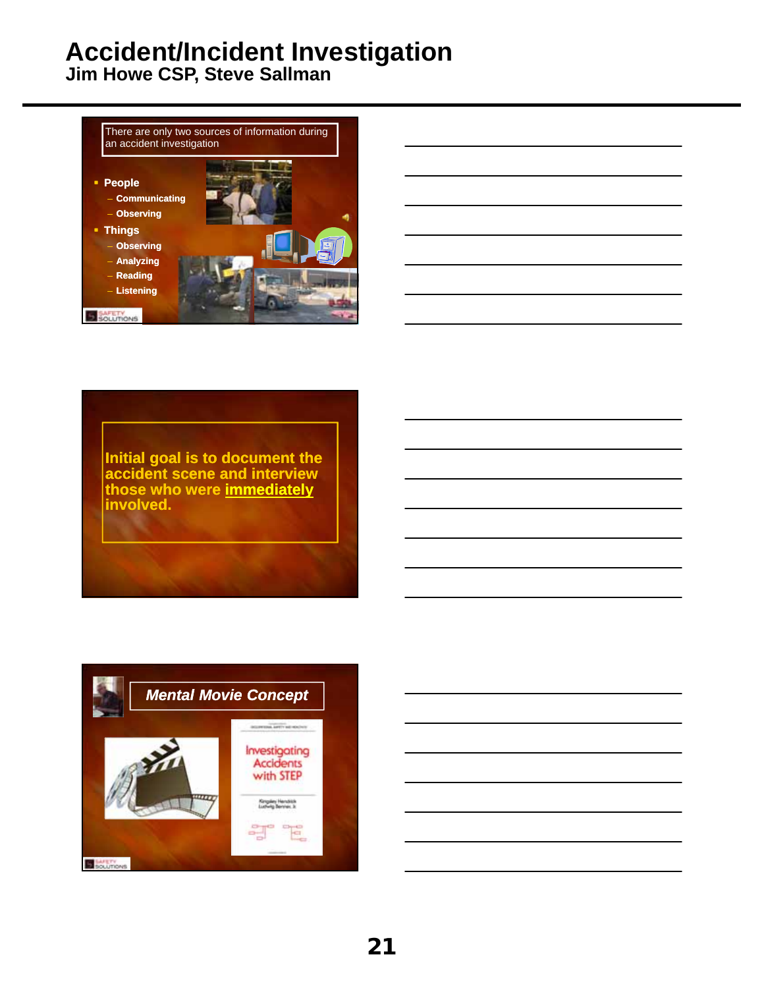**Jim Howe CSP, Steve Sallman**





**Initial goal is to document the accident scene and interview those who were immediately involved.**

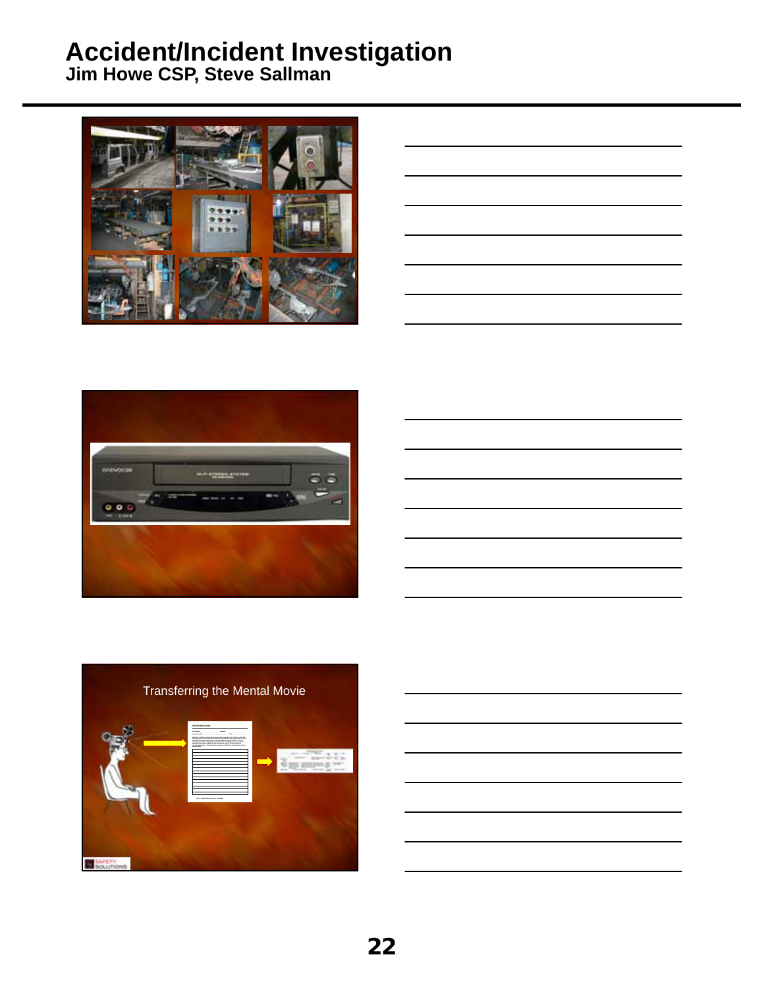

| <u> 1989 - Johann Barn, mars ann an t-Amhain ann an t-Amhain ann an t-Amhain ann an t-Amhain an t-Amhain ann an t-</u> |  |  |
|------------------------------------------------------------------------------------------------------------------------|--|--|
|                                                                                                                        |  |  |
| and the control of the control of the control of the control of the control of the control of the control of the       |  |  |
| <u> 1989 - Johann Barn, amerikan bernama di sebagai bernama di sebagai bernama di sebagai bernama di sebagai ber</u>   |  |  |
| <u> 1989 - Johann Barn, mars ann an t-Amhainn an t-Amhainn an t-Amhainn an t-Amhainn an t-Amhainn an t-Amhainn an</u>  |  |  |
|                                                                                                                        |  |  |







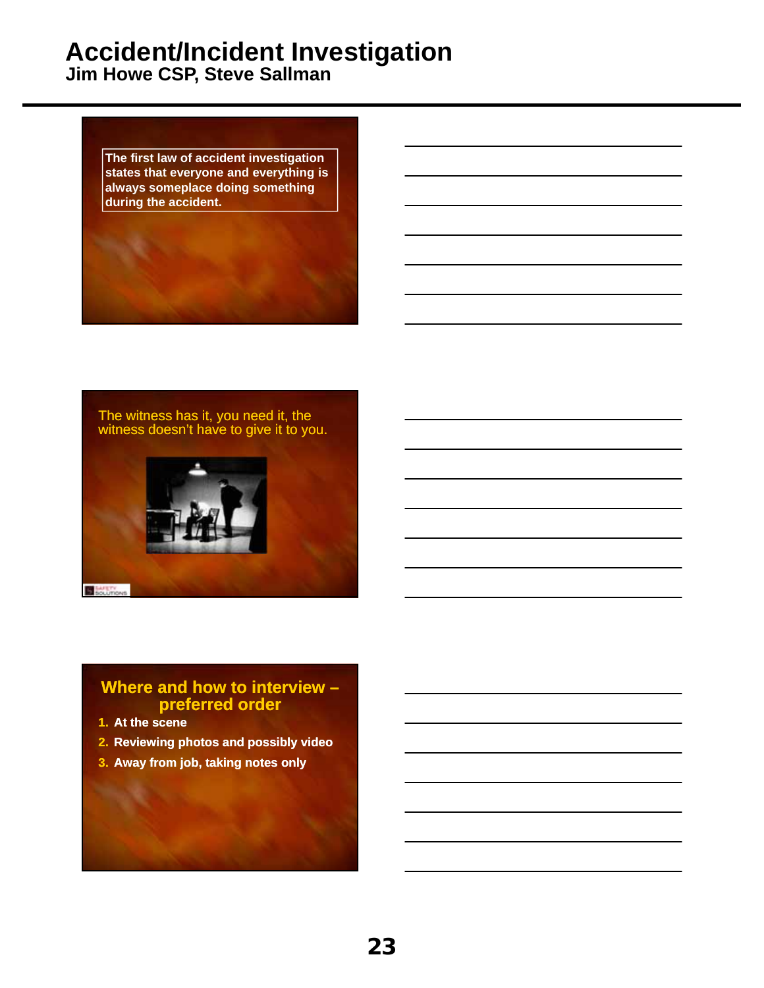**Jim Howe CSP, Steve Sallman**

**The first law of accident investigation states that everyone and everything is always someplace doing something during the accident.**

The witness has it, you need it, the witness doesn't have to give it to you.



#### **Where and how to interview – preferred order**

- **1. At the scene**
- **2. Reviewing photos and possibly video**
- **3. Away from job, taking notes only**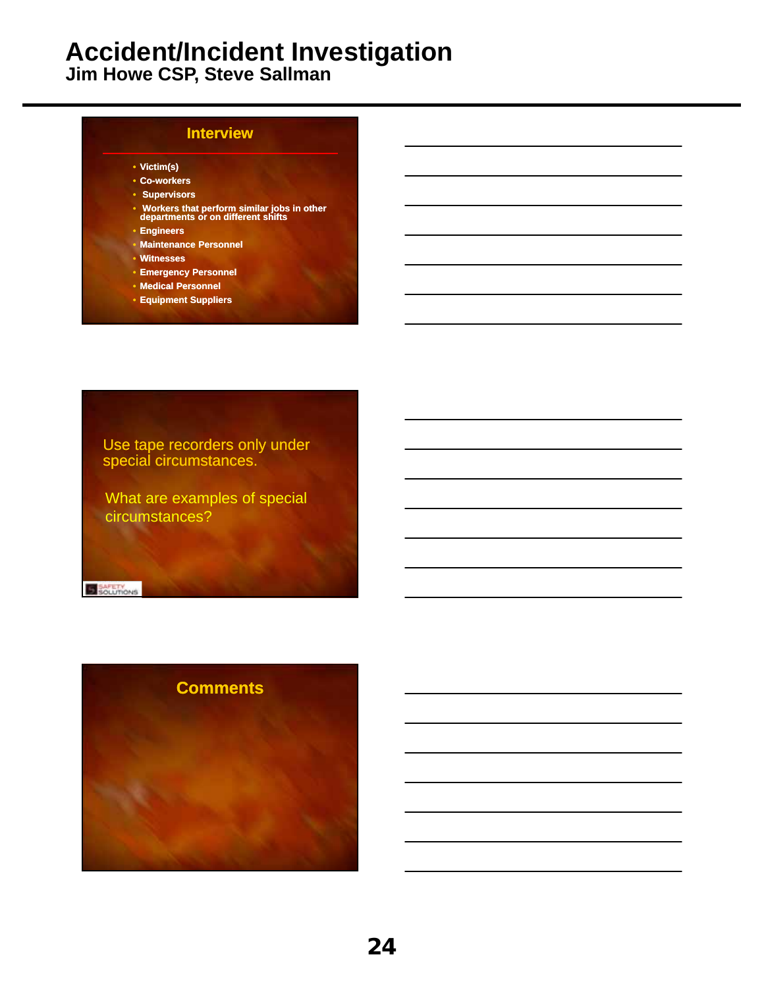**Jim Howe CSP, Steve Sallman**

| <b>Interview</b>                                                                   |
|------------------------------------------------------------------------------------|
| • Victim(s)                                                                        |
| • Co-workers                                                                       |
| <b>Supervisors</b>                                                                 |
| • Workers that perform similar jobs in other<br>departments or on different shifts |
| • Engineers                                                                        |
| • Maintenance Personnel                                                            |
| • Witnesses                                                                        |
| <b>Emergency Personnel</b>                                                         |
| • Medical Personnel                                                                |
| <b>• Equipment Suppliers</b>                                                       |

Use tape recorders only under special circumstances.

What are examples of special circumstances?

**B** SAFETY

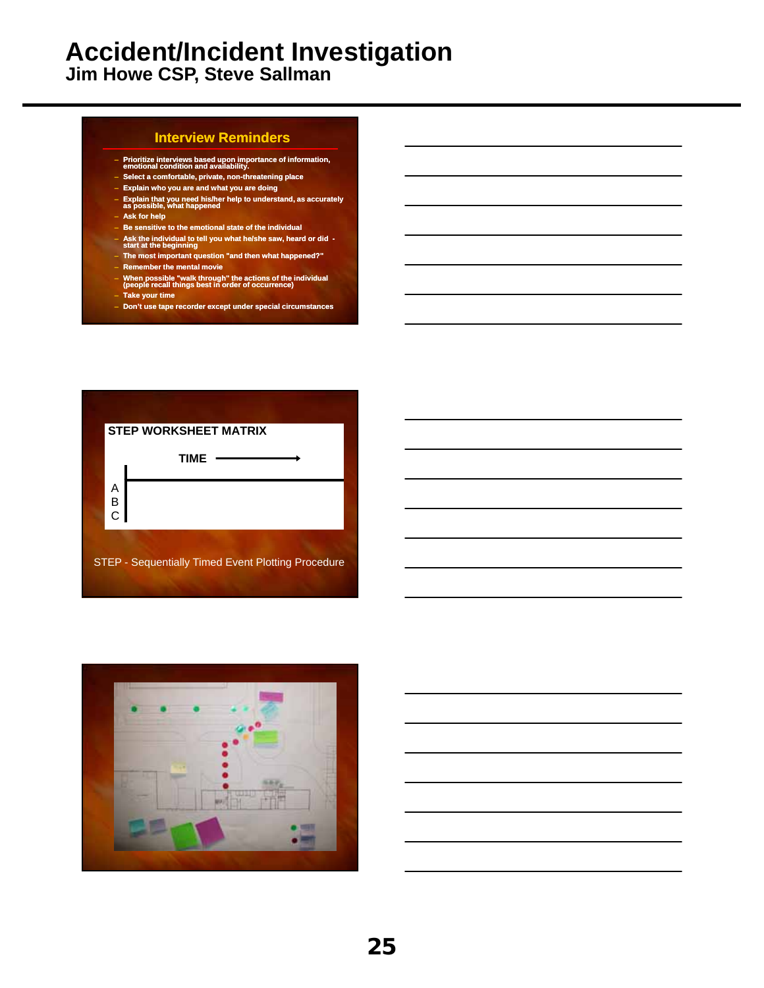**Jim Howe CSP, Steve Sallman**

#### **Interview Reminders**

- **Prioritize interviews based upon importance of information, emotional condition and availability.**
- **Select a comfortable, private, non-threatening place**
- **Explain who you are and what you are doing**
- **Explain that you need his/her help to understand, as accurately as possible, what happened**
- **Ask for help**
- **Be sensitive to the emotional state of the individual**
- **Ask the individual to tell you what he/she saw, heard or did - start at the beginning**
- **The most important question "and then what happened?"**
- **Remember the mental movie**
- **When possible "walk through" the actions of the individual (people recall things best in order of occurrence)**
- **Take your time**
- **Don't use tape recorder except under special circumstances**



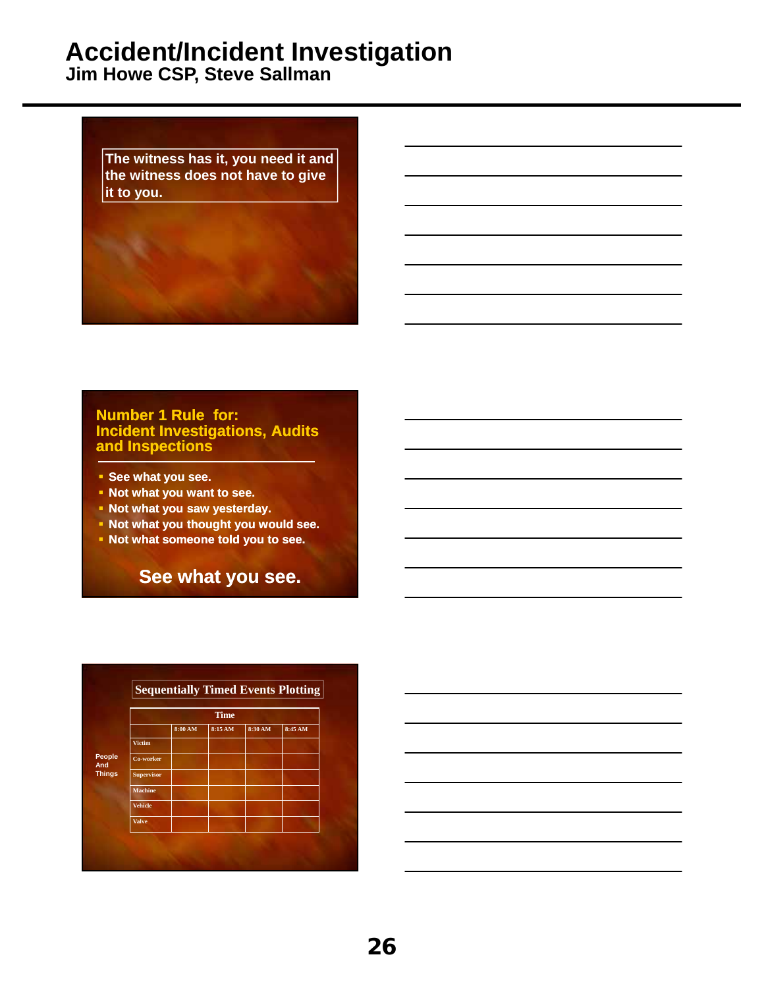**Jim Howe CSP, Steve Sallman**

**The witness has it, you need it and the witness does not have to give it to you.**

#### **Number 1 Rule for: Incident Investigations, Audits and Inspections**

- **See what you see.**
- **Not what you want to see.**
- **Not what you saw yesterday.**
- **Not what you thought you would see.**
- **Not what someone told you to see.**

**See what you see.**

|               |                |         | <b>Time</b> |         |         |
|---------------|----------------|---------|-------------|---------|---------|
|               |                | 8:00 AM | 8:15 AM     | 8:30 AM | 8:45 AM |
|               | <b>Victim</b>  |         |             |         |         |
| People<br>And | Co-worker      |         |             |         |         |
| <b>Things</b> | Supervisor     |         |             |         |         |
|               | <b>Machine</b> |         |             |         |         |
|               | <b>Vehicle</b> |         |             |         |         |
|               | <b>Valve</b>   |         |             |         |         |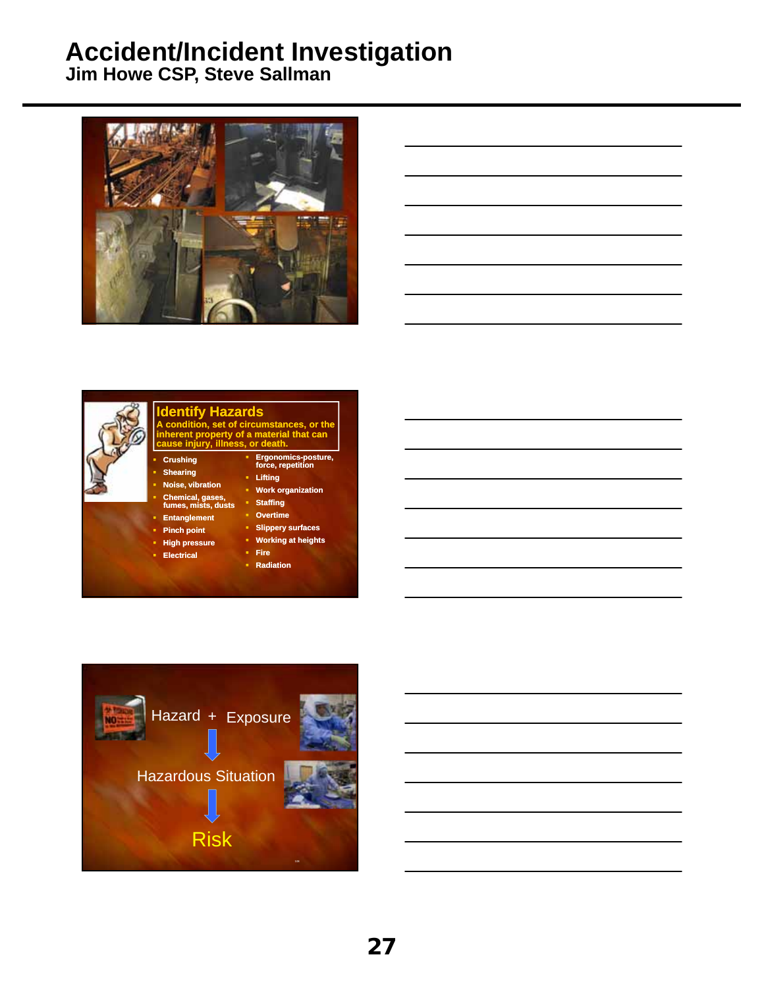**Jim Howe CSP, Steve Sallman**





# **Identify Hazards A condition, set of circumstances, or the inherent property of a material that can cause injury, illness, or death.**

#### **Noise, vibration Chemical, gases, fumes, mists, dusts**

**Entanglement**

 **Crushing Shearing** 

- **Pinch point**
- 
- **High pressure Electrical**
- **Working at heights Fire**
	- **Radiation**

 **Lifting Work organization Staffing Overtime Slippery surfaces**

**Ergonomics-posture, force, repetition**

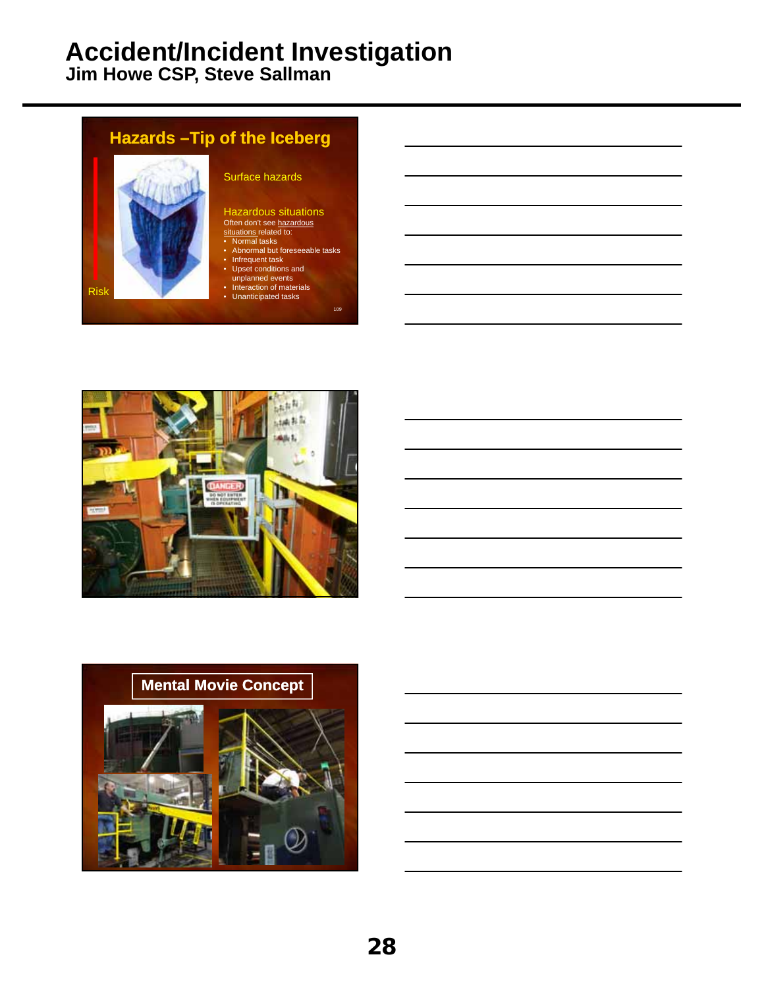109

**Jim Howe CSP, Steve Sallman**

## **Hazards –Tip of the Iceberg** Surface hazards Hazardous situations<br><sup>Often</sup> don't see <u>hazardous</u> situations related to:<br>• Normal tasks Abnormal but foreseeable tasks • Infrequent task<br>
• Upset conditions and<br>
• Interaction of materials<br>
• Unanticipated tasks



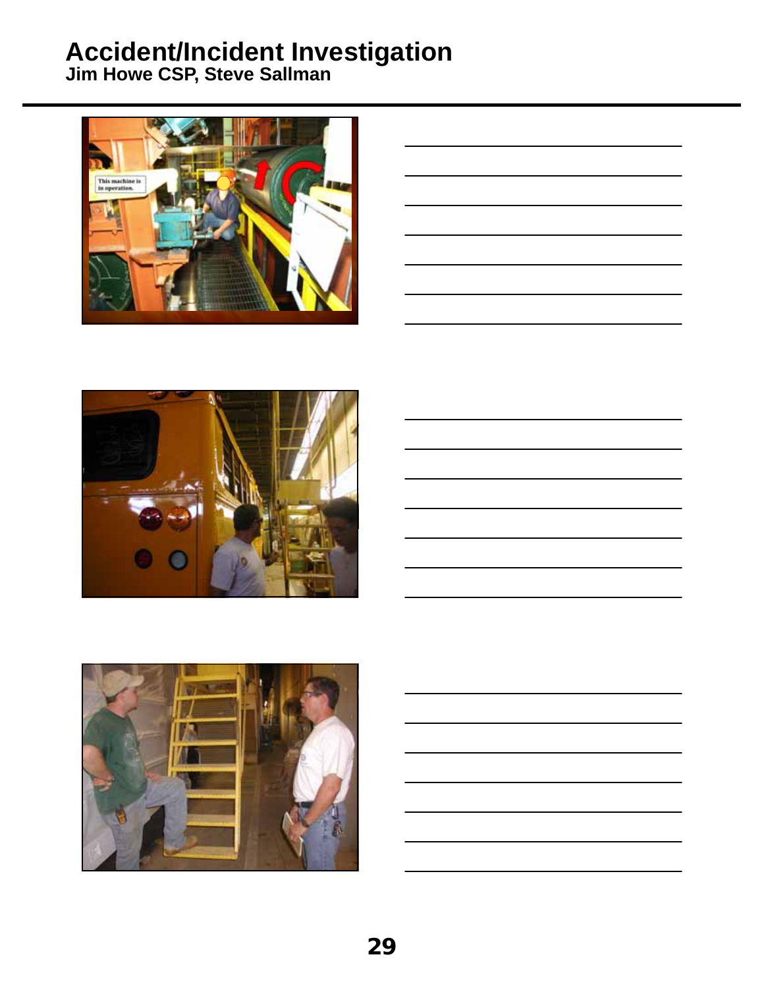

| the contract of the contract of the contract of the contract of the contract of                                      |  |
|----------------------------------------------------------------------------------------------------------------------|--|
|                                                                                                                      |  |
|                                                                                                                      |  |
| <u> 1989 - Andrea Barbara, Amerikaansk politiker († 1908)</u>                                                        |  |
|                                                                                                                      |  |
|                                                                                                                      |  |
| <u> 1989 - Johann Stein, marwolaethau a bhann an t-Amhair an t-Amhair an t-Amhair an t-Amhair an t-Amhair an t-A</u> |  |
|                                                                                                                      |  |
|                                                                                                                      |  |
| the contract of the contract of the contract of the contract of the contract of                                      |  |
|                                                                                                                      |  |
|                                                                                                                      |  |
| <u> 1989 - Johann Barn, amerikansk politiker (</u>                                                                   |  |
|                                                                                                                      |  |
|                                                                                                                      |  |
| <u> 1989 - Johann Stoff, Amerikaansk politiker (</u>                                                                 |  |
|                                                                                                                      |  |
|                                                                                                                      |  |





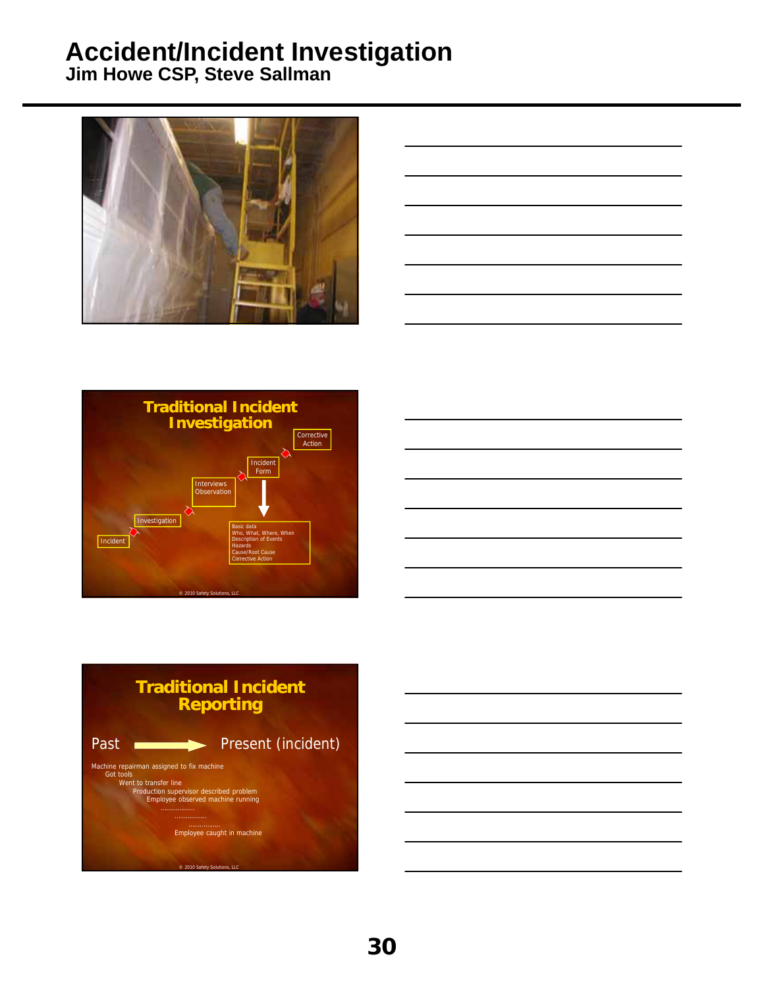







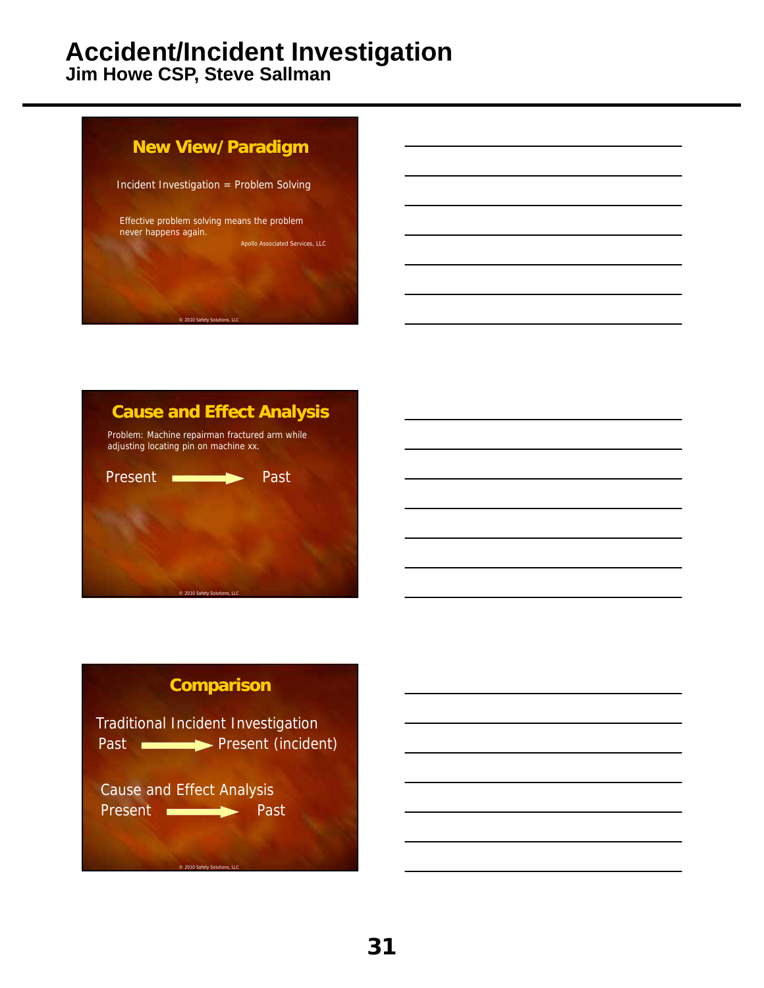**Jim Howe CSP, Steve Sallman**





# Present **International Past** Past **International Present (incident) Comparison** Traditional Incident Investigation Cause and Effect Analysis

© 2010 Safety Solutions, LLC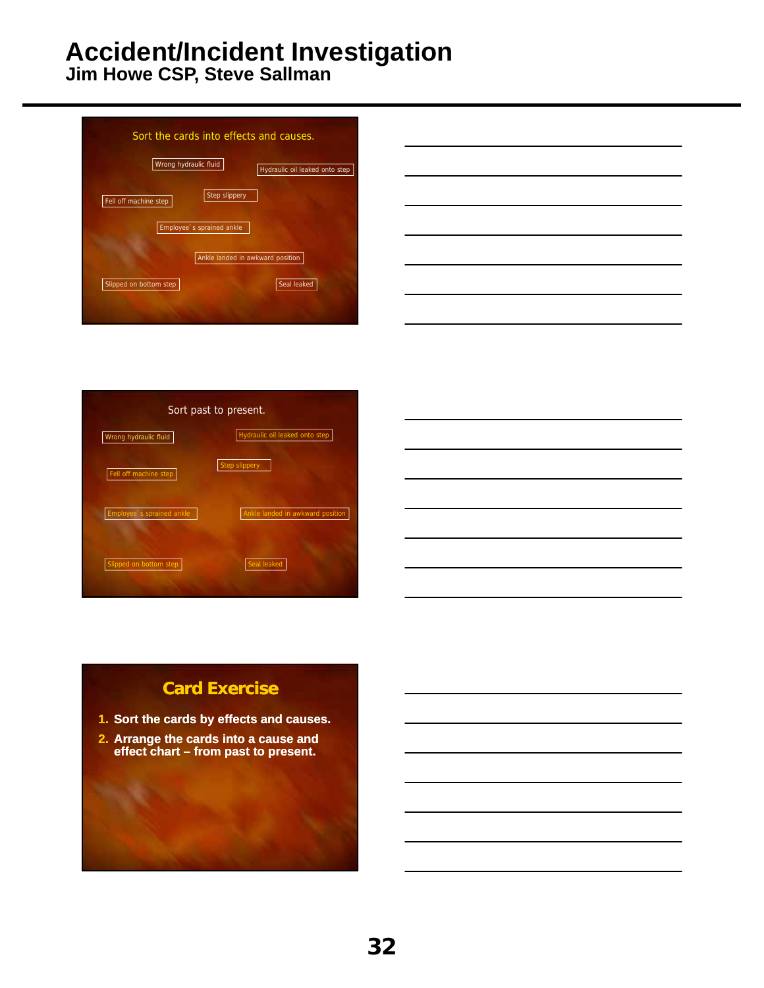**Jim Howe CSP, Steve Sallman**



| Wrong hydraulic fluid     | Hydraulic oil leaked onto step   |
|---------------------------|----------------------------------|
| Fell off machine step     | <b>Step slippery</b>             |
|                           |                                  |
| Employee's sprained ankle | Ankle landed in awkward position |
|                           |                                  |



### **Card Exercise**

- **1. Sort the cards by effects and causes.**
- **2. Arrange the cards into a cause and effect chart – from past to present.**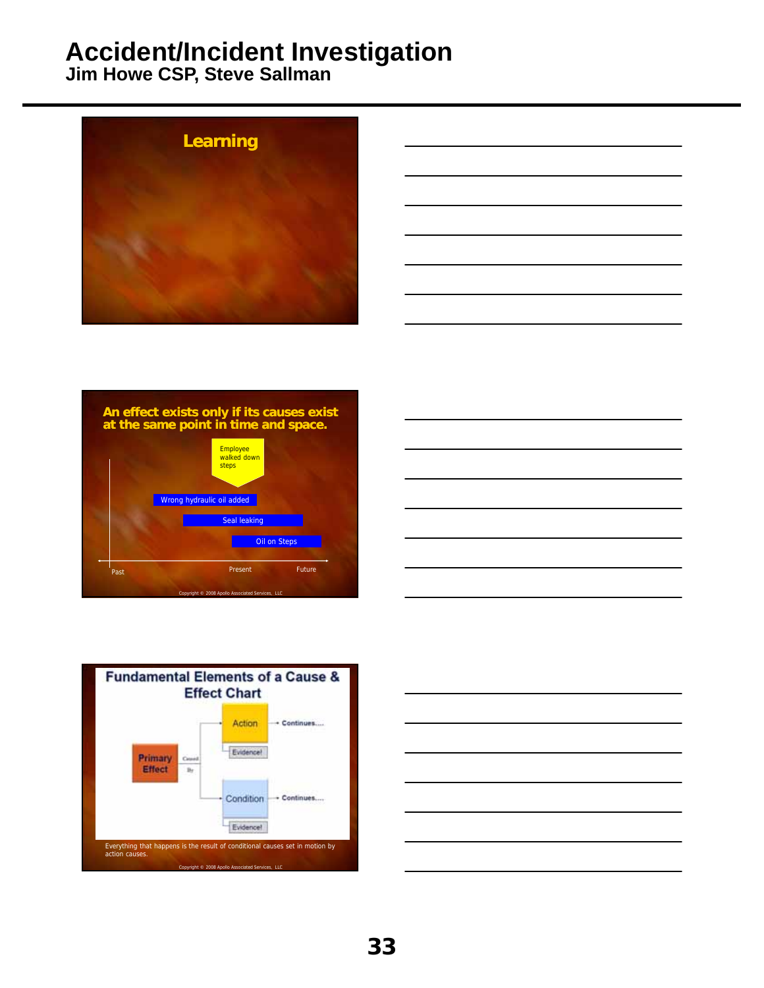









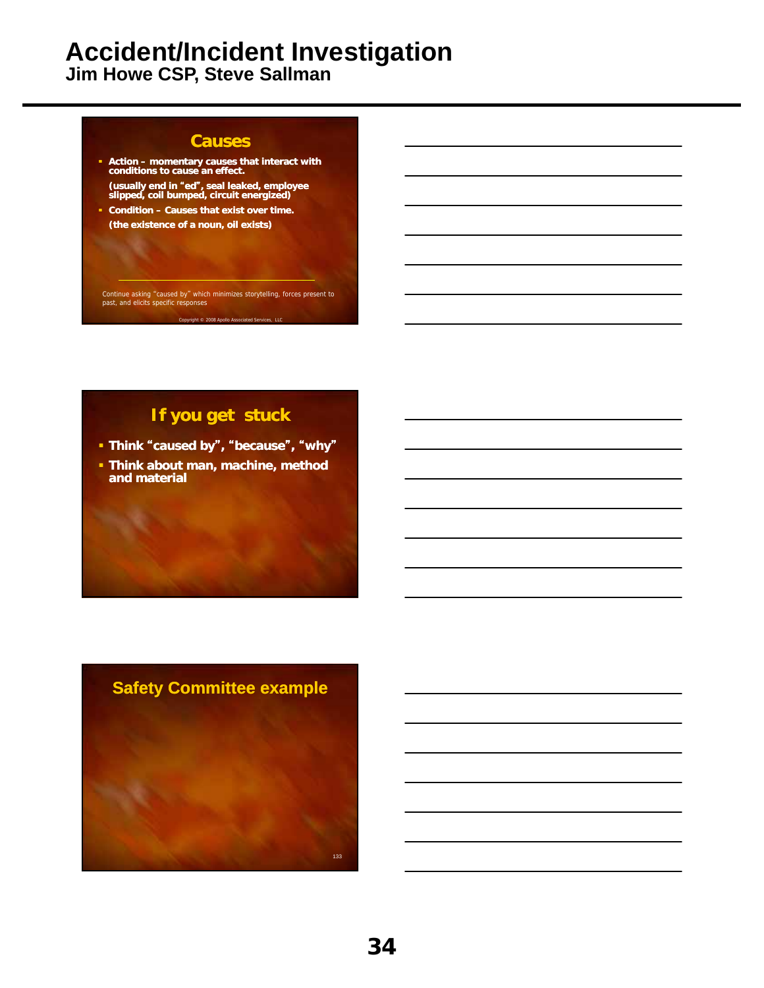**Jim Howe CSP, Steve Sallman**

#### **Causes**

- **Action momentary causes that interact with conditions to cause an effect.**
- **(usually end in** "**ed**"**, seal leaked, employee slipped, coil bumped, circuit energized) Condition – Causes that exist over time.**
- **(the existence of a noun, oil exists)**

Continue asking "caused by" which minimizes storytelling, forces present to past, and elicits specific responses

Copyright © 2008 Apollo As

#### **If you get stuck**

- **Think** "**caused by**"**,** "**because**"**,** "**why**"
- **Think about man, machine, method and material**

# **Safety Committee example** 133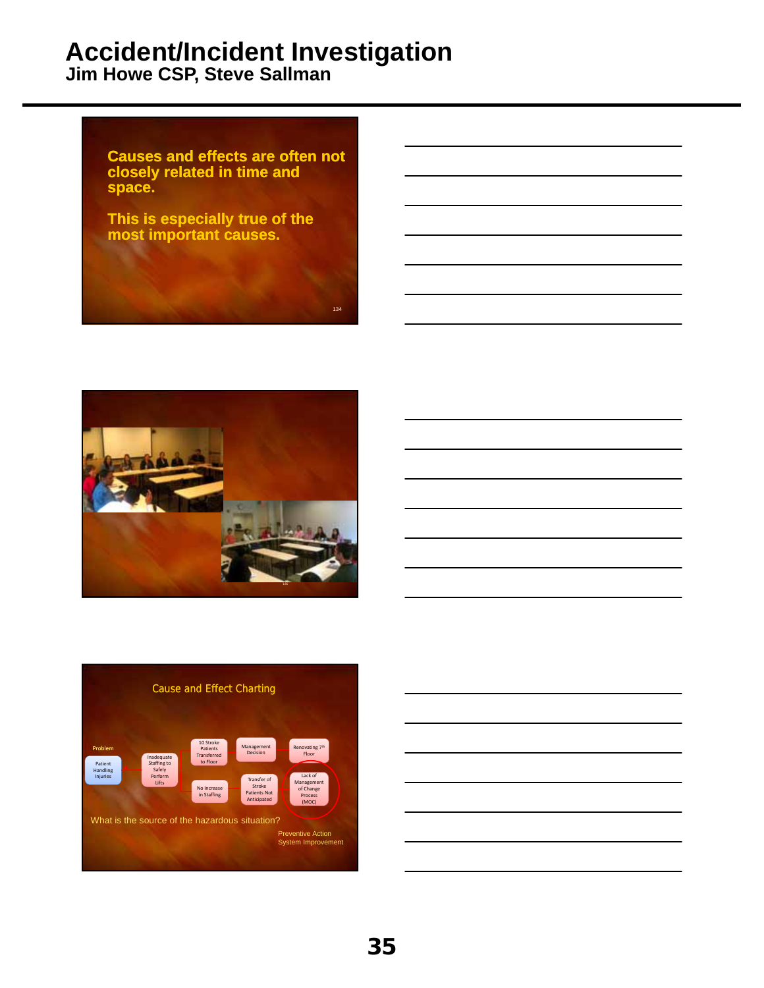





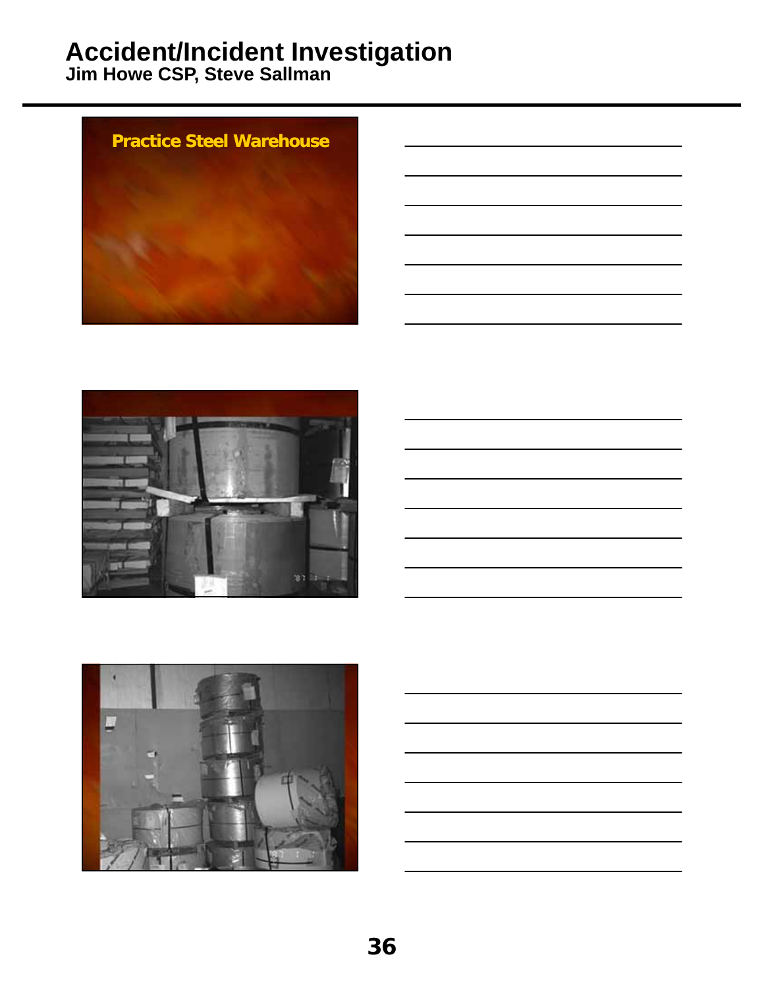





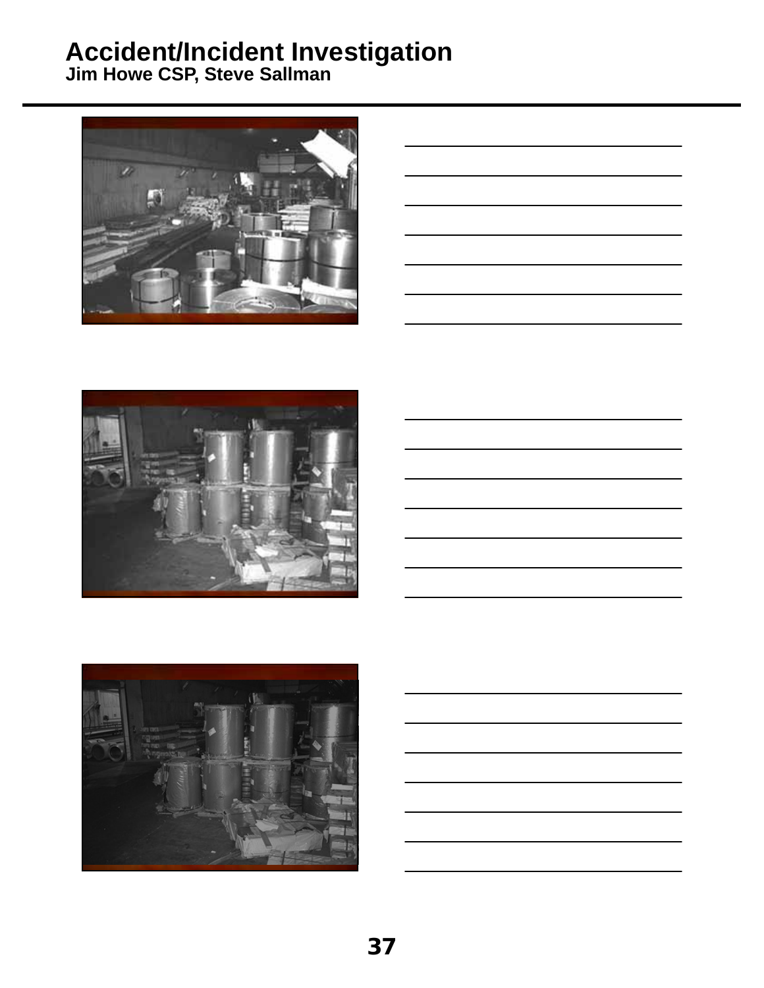





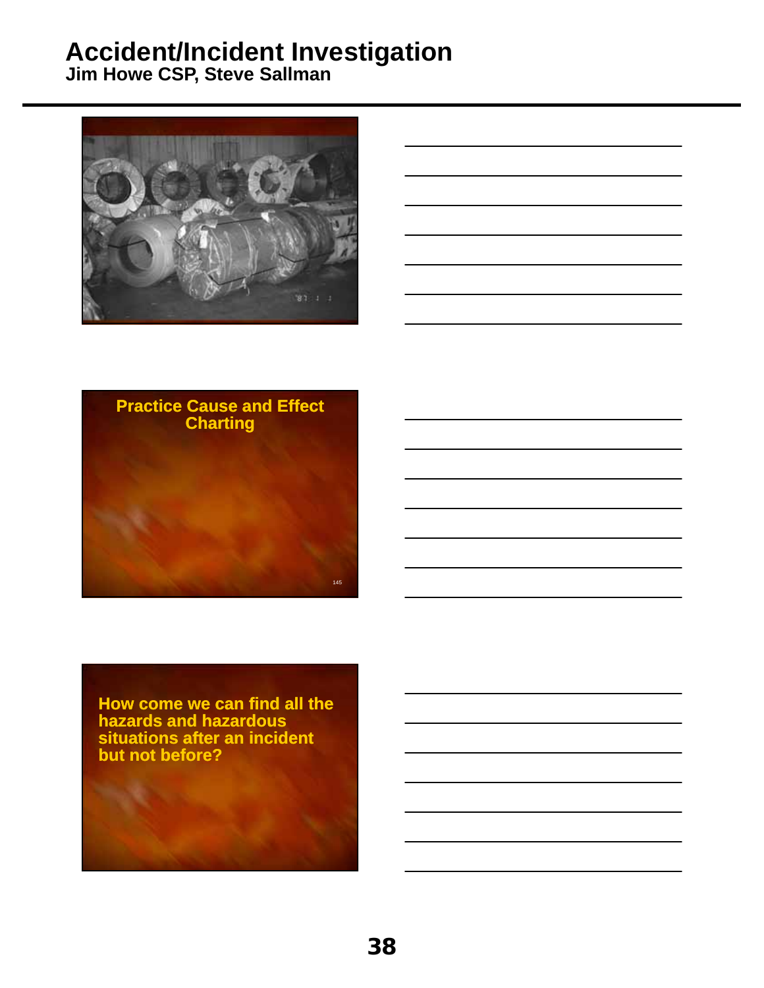**Jim Howe CSP, Steve Sallman**







**How come we can find all the hazards and hazardous situations after an incident but not before?**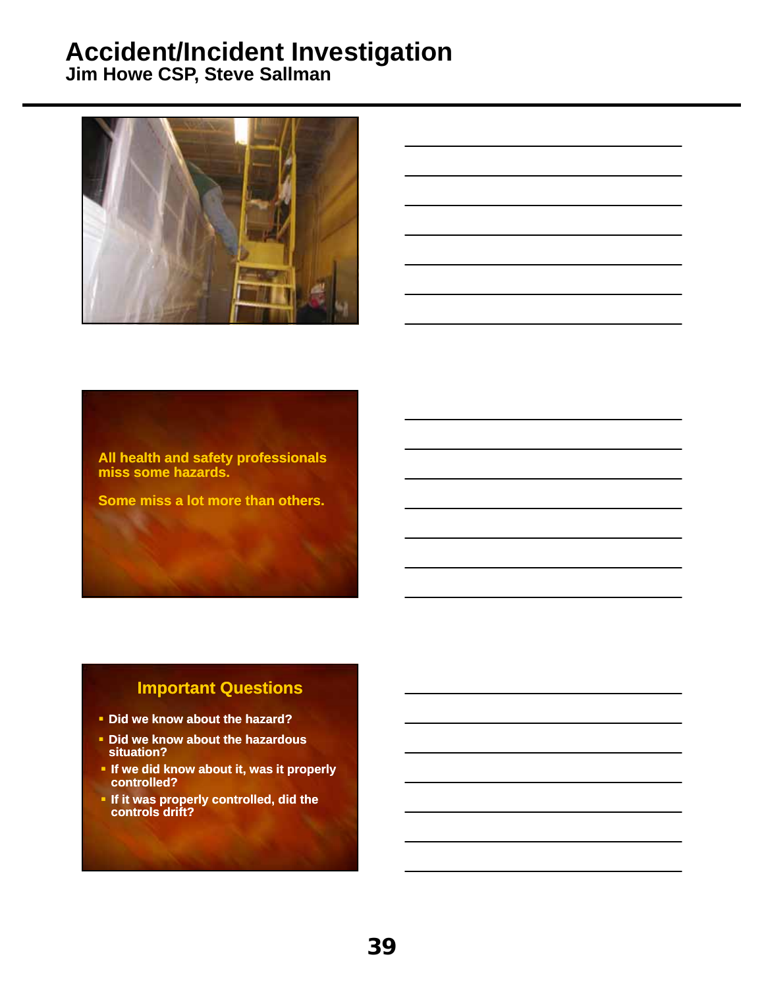**Jim Howe CSP, Steve Sallman**



**All health and safety professionals miss some hazards.**

**Some miss a lot more than others.**

#### **Important Questions**

- **Did we know about the hazard?**
- **Did we know about the hazardous situation?**
- **If we did know about it, was it properly controlled?**
- **If it was properly controlled, did the controls drift?**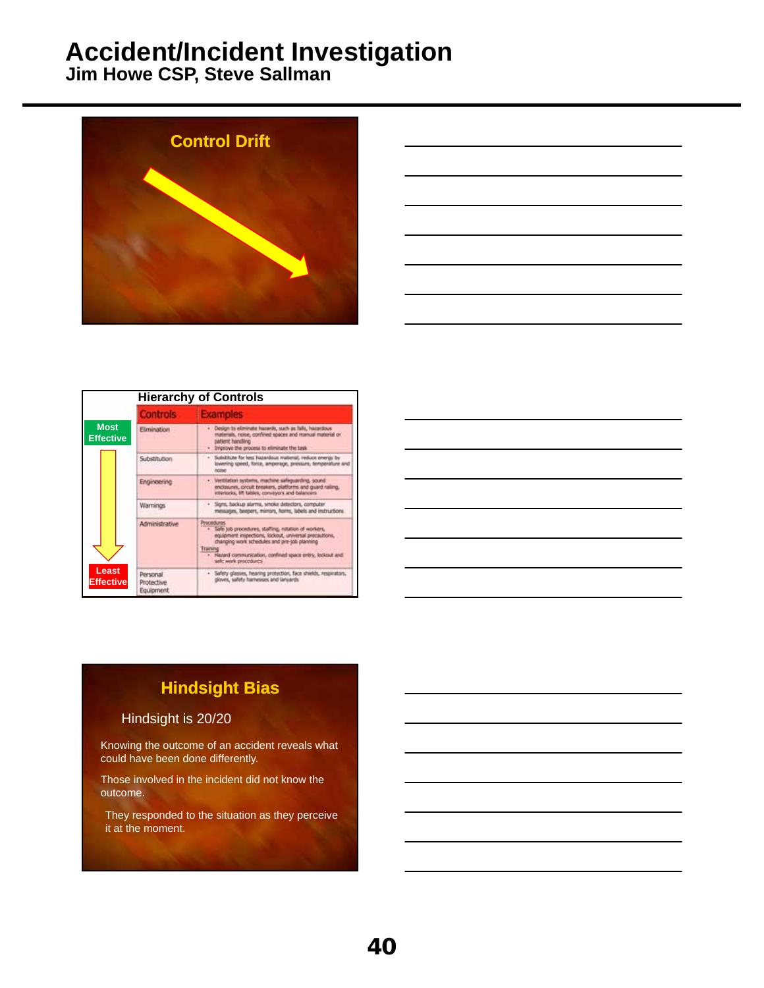**Jim Howe CSP, Steve Sallman**





|                                                        | <b>Hierarchy of Controls</b>               |                                                                                                                                                                                                                                                                                |
|--------------------------------------------------------|--------------------------------------------|--------------------------------------------------------------------------------------------------------------------------------------------------------------------------------------------------------------------------------------------------------------------------------|
|                                                        | <b>Controls</b>                            | <b>Examples</b>                                                                                                                                                                                                                                                                |
| <b>Most</b><br><b>Effective</b><br>Least<br>Effectivel | <b>Elimination</b>                         | · Design to eliminate hazards, such as falls, hazardous<br>materials, noise, confined spaces and manual material or<br>patient handling.<br>Improve the process to eliminate the task<br>٠                                                                                     |
|                                                        | Substitution                               | · Substitute for less futurebous material, reduce energy by<br>lowering speed, force, amperage, pressure, temperature and<br><b>Inciner</b>                                                                                                                                    |
|                                                        | Engineering                                | · Vertitation systems, machine safeguarding, sound<br>enclosures, circuit breakers, platforms and quard railing.<br>interlocks, lift tables, conveyors and balancers                                                                                                           |
|                                                        | <b>Warnings</b>                            | · Sens, fackup alarms, whole detectors, computer.<br>messages, beepers, mimors, horns, labels and instructions.                                                                                                                                                                |
|                                                        | Administrative                             | Procedures<br>. Sale job procedures, staffing, rotation of workers,<br>equipment inspections, lockout, universal precautions,<br>changing work schedules and pre-sob planning<br>Traming<br>. Hazard communication, confiried space entry, looksut and<br>sale work procedures |
|                                                        | Personal<br>Protective<br><b>Equipment</b> | · Sefety glasses, heaving protection, face shields, respirators,<br>gloves, safety harnesses and lanyards                                                                                                                                                                      |

## **Hindsight Bias**

#### Hindsight is 20/20

Knowing the outcome of an accident reveals what could have been done differently.

Those involved in the incident did not know the outcome.

They responded to the situation as they perceive it at the moment.